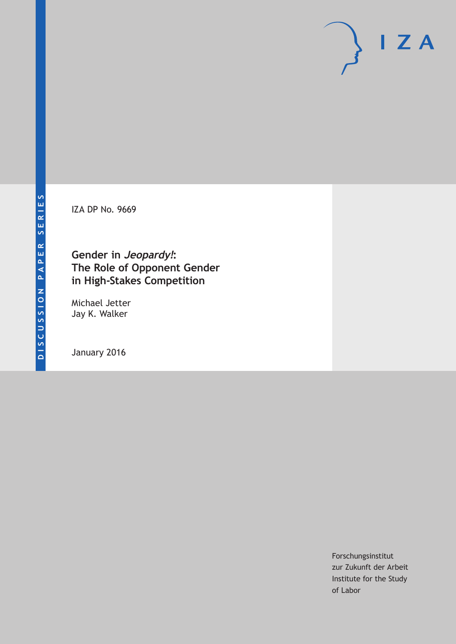IZA DP No. 9669

# **Gender in Jeopardy!: The Role of Opponent Gender in High-Stakes Competition**

Michael Jetter Jay K. Walker

January 2016

Forschungsinstitut zur Zukunft der Arbeit Institute for the Study of Labor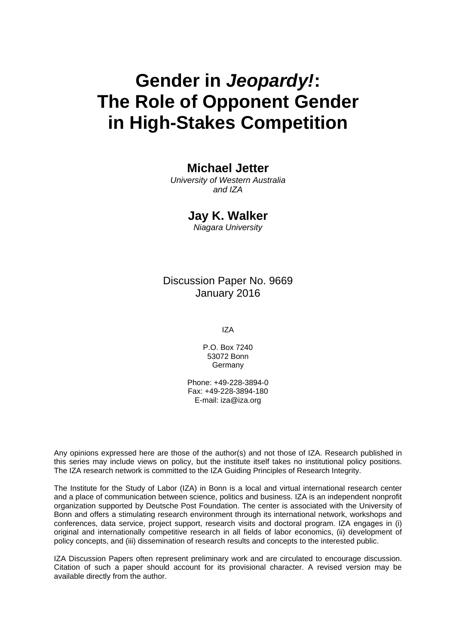# **Gender in** *Jeopardy!***: The Role of Opponent Gender in High-Stakes Competition**

## **Michael Jetter**

*University of Western Australia and IZA* 

### **Jay K. Walker**

*Niagara University* 

### Discussion Paper No. 9669 January 2016

IZA

P.O. Box 7240 53072 Bonn **Germany** 

Phone: +49-228-3894-0 Fax: +49-228-3894-180 E-mail: iza@iza.org

Any opinions expressed here are those of the author(s) and not those of IZA. Research published in this series may include views on policy, but the institute itself takes no institutional policy positions. The IZA research network is committed to the IZA Guiding Principles of Research Integrity.

The Institute for the Study of Labor (IZA) in Bonn is a local and virtual international research center and a place of communication between science, politics and business. IZA is an independent nonprofit organization supported by Deutsche Post Foundation. The center is associated with the University of Bonn and offers a stimulating research environment through its international network, workshops and conferences, data service, project support, research visits and doctoral program. IZA engages in (i) original and internationally competitive research in all fields of labor economics, (ii) development of policy concepts, and (iii) dissemination of research results and concepts to the interested public.

IZA Discussion Papers often represent preliminary work and are circulated to encourage discussion. Citation of such a paper should account for its provisional character. A revised version may be available directly from the author.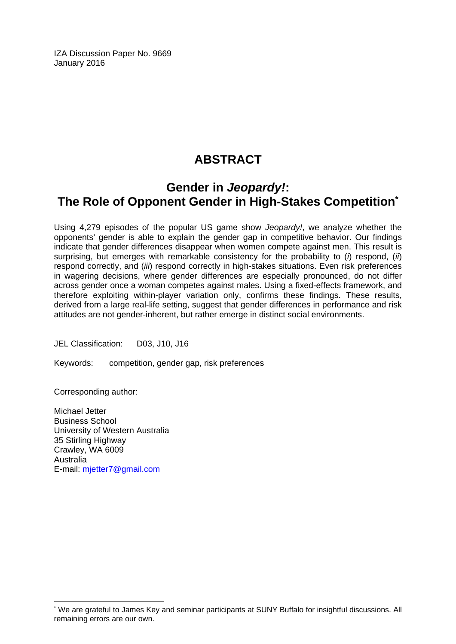IZA Discussion Paper No. 9669 January 2016

# **ABSTRACT**

# **Gender in** *Jeopardy!***: The Role of Opponent Gender in High-Stakes Competition\***

Using 4,279 episodes of the popular US game show *Jeopardy!*, we analyze whether the opponents' gender is able to explain the gender gap in competitive behavior. Our findings indicate that gender differences disappear when women compete against men. This result is surprising, but emerges with remarkable consistency for the probability to (*i*) respond, (*ii*) respond correctly, and (*iii*) respond correctly in high-stakes situations. Even risk preferences in wagering decisions, where gender differences are especially pronounced, do not differ across gender once a woman competes against males. Using a fixed-effects framework, and therefore exploiting within-player variation only, confirms these findings. These results, derived from a large real-life setting, suggest that gender differences in performance and risk attitudes are not gender-inherent, but rather emerge in distinct social environments.

JEL Classification: D03, J10, J16

Keywords: competition, gender gap, risk preferences

Corresponding author:

 $\overline{a}$ 

Michael Jetter Business School University of Western Australia 35 Stirling Highway Crawley, WA 6009 Australia E-mail: mjetter7@gmail.com

<sup>\*</sup> We are grateful to James Key and seminar participants at SUNY Buffalo for insightful discussions. All remaining errors are our own.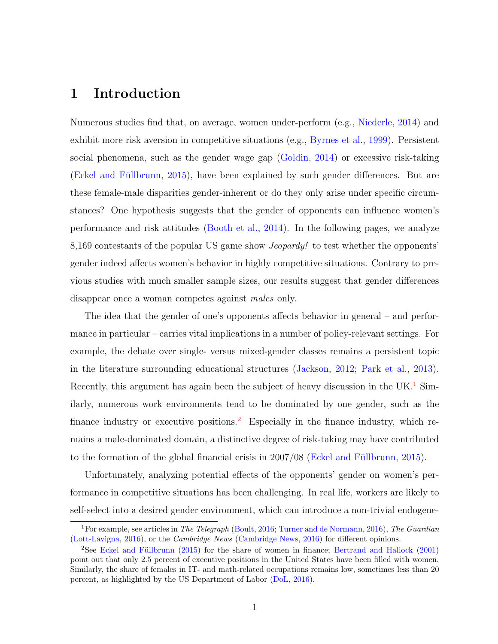# 1 Introduction

Numerous studies find that, on average, women under-perform (e.g., [Niederle,](#page-39-0) [2014\)](#page-39-0) and exhibit more risk aversion in competitive situations (e.g., [Byrnes et al.,](#page-36-0) [1999\)](#page-36-0). Persistent social phenomena, such as the gender wage gap [\(Goldin,](#page-37-0) [2014\)](#page-37-0) or excessive risk-taking (Eckel and Füllbrunn, [2015\)](#page-37-1), have been explained by such gender differences. But are these female-male disparities gender-inherent or do they only arise under specific circumstances? One hypothesis suggests that the gender of opponents can influence women's performance and risk attitudes [\(Booth et al.,](#page-36-1) [2014\)](#page-36-1). In the following pages, we analyze 8,169 contestants of the popular US game show Jeopardy! to test whether the opponents' gender indeed affects women's behavior in highly competitive situations. Contrary to previous studies with much smaller sample sizes, our results suggest that gender differences disappear once a woman competes against males only.

The idea that the gender of one's opponents affects behavior in general – and performance in particular – carries vital implications in a number of policy-relevant settings. For example, the debate over single- versus mixed-gender classes remains a persistent topic in the literature surrounding educational structures [\(Jackson,](#page-38-0) [2012;](#page-38-0) [Park et al.,](#page-39-1) [2013\)](#page-39-1). Recently, this argument has again been the subject of heavy discussion in the UK.<sup>[1](#page-3-0)</sup> Similarly, numerous work environments tend to be dominated by one gender, such as the finance industry or executive positions.<sup>[2](#page-3-1)</sup> Especially in the finance industry, which remains a male-dominated domain, a distinctive degree of risk-taking may have contributed to the formation of the global financial crisis in  $2007/08$  (Eckel and Füllbrunn, [2015\)](#page-37-1).

Unfortunately, analyzing potential effects of the opponents' gender on women's performance in competitive situations has been challenging. In real life, workers are likely to self-select into a desired gender environment, which can introduce a non-trivial endogene-

<span id="page-3-0"></span><sup>&</sup>lt;sup>1</sup>For example, see articles in *The Telegraph* [\(Boult,](#page-36-2) [2016;](#page-36-2) [Turner and de Normann,](#page-40-0) [2016\)](#page-40-0), *The Guardian* [\(Lott-Lavigna,](#page-39-2) [2016\)](#page-39-2), or the Cambridge News [\(Cambridge News,](#page-36-3) [2016\)](#page-36-3) for different opinions.

<span id="page-3-1"></span><sup>&</sup>lt;sup>2</sup>See Eckel and Füllbrunn [\(2015\)](#page-37-1) for the share of women in finance; [Bertrand and Hallock](#page-36-4) [\(2001\)](#page-36-4) point out that only 2.5 percent of executive positions in the United States have been filled with women. Similarly, the share of females in IT- and math-related occupations remains low, sometimes less than 20 percent, as highlighted by the US Department of Labor [\(DoL,](#page-37-2) [2016\)](#page-37-2).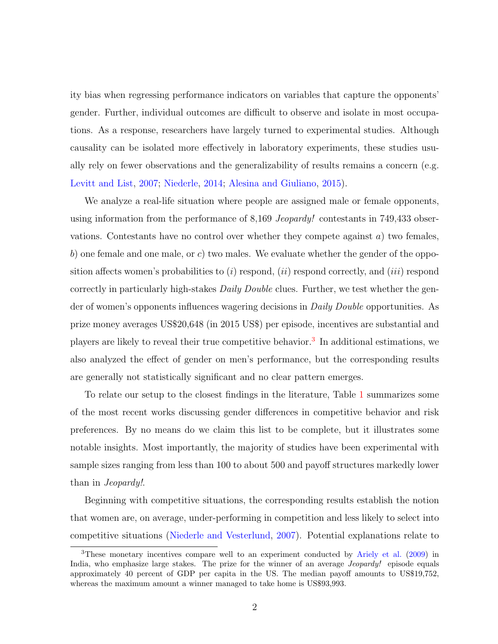ity bias when regressing performance indicators on variables that capture the opponents' gender. Further, individual outcomes are difficult to observe and isolate in most occupations. As a response, researchers have largely turned to experimental studies. Although causality can be isolated more effectively in laboratory experiments, these studies usually rely on fewer observations and the generalizability of results remains a concern (e.g. [Levitt and List,](#page-39-3) [2007;](#page-39-3) [Niederle,](#page-39-0) [2014;](#page-39-0) [Alesina and Giuliano,](#page-36-5) [2015\)](#page-36-5).

We analyze a real-life situation where people are assigned male or female opponents, using information from the performance of 8,169 *Jeopardy!* contestants in 749,433 observations. Contestants have no control over whether they compete against  $a$ ) two females, b) one female and one male, or c) two males. We evaluate whether the gender of the opposition affects women's probabilities to  $(i)$  respond,  $(ii)$  respond correctly, and  $(iii)$  respond correctly in particularly high-stakes *Daily Double* clues. Further, we test whether the gender of women's opponents influences wagering decisions in Daily Double opportunities. As prize money averages US\$20,648 (in 2015 US\$) per episode, incentives are substantial and players are likely to reveal their true competitive behavior.<sup>[3](#page-4-0)</sup> In additional estimations, we also analyzed the effect of gender on men's performance, but the corresponding results are generally not statistically significant and no clear pattern emerges.

To relate our setup to the closest findings in the literature, Table [1](#page-5-0) summarizes some of the most recent works discussing gender differences in competitive behavior and risk preferences. By no means do we claim this list to be complete, but it illustrates some notable insights. Most importantly, the majority of studies have been experimental with sample sizes ranging from less than 100 to about 500 and payoff structures markedly lower than in Jeopardy!.

Beginning with competitive situations, the corresponding results establish the notion that women are, on average, under-performing in competition and less likely to select into competitive situations [\(Niederle and Vesterlund,](#page-39-4) [2007\)](#page-39-4). Potential explanations relate to

<span id="page-4-0"></span><sup>3</sup>These monetary incentives compare well to an experiment conducted by [Ariely et al.](#page-36-6) [\(2009\)](#page-36-6) in India, who emphasize large stakes. The prize for the winner of an average *Jeopardy!* episode equals approximately 40 percent of GDP per capita in the US. The median payoff amounts to US\$19,752, whereas the maximum amount a winner managed to take home is US\$93,993.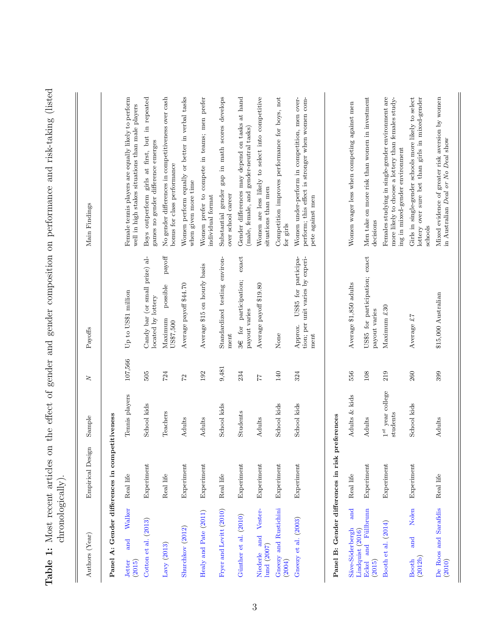<span id="page-5-0"></span>

| Authors (Year)                                 | Empirical Design | Sample                            | Z       | Payoffs                                                                     | Main Findings                                                                                                                               |
|------------------------------------------------|------------------|-----------------------------------|---------|-----------------------------------------------------------------------------|---------------------------------------------------------------------------------------------------------------------------------------------|
|                                                |                  |                                   |         |                                                                             |                                                                                                                                             |
| Panel A: Gender differences in competitiveness |                  |                                   |         |                                                                             |                                                                                                                                             |
| Walker<br>and<br><b>Jetter</b><br>(2015)       | Real life        | Tennis players                    | 107,566 | Up to US\$1 million                                                         | Female tennis players are equally likely to perform<br>well in high stakes situations than male players                                     |
| Cotton et al. (2013)                           | Experiment       | School kids                       | 505     | Candy bar (or small prize) al-<br>located by lottery                        | girls at first, but in repeated<br>games no gender difference emerges<br>Boys outperform                                                    |
| Lavy $(2013)$                                  | Real life        | Teachers                          | 724     | $\operatorname{payoff}$<br>possible<br>Maximum<br>US\$7,500                 | No gender differences in competitiveness over cash<br>bonus for class performance                                                           |
| Shurchkov (2012)                               | Experiment       | Adults                            | 27      | Average payoff \$44.70                                                      | Women perform equally or better in verbal tasks<br>when given more time                                                                     |
| Healy and Pate (2011)                          | Experiment       | Adults                            | 192     | Average \$15 on hourly basis                                                | Women prefer to compete in teams; men prefer<br>individual format                                                                           |
| Fryer and Levitt (2010)                        | Real life        | School kids                       | 9,481   | Standardized testing environ-<br>ment                                       | develops<br>Substantial gender gap in math scores<br>over school career                                                                     |
| Günther et al. (2010)                          | Experiment       | <b>Students</b>                   | 234     | exact<br>participation;<br>payout varies<br>for<br>36                       | Gender differences may depend on tasks at hand<br>(male, female, and gender-neutral tasks)                                                  |
| and Vester-<br>lund (2007)<br>Niederle         | Experiment       | Adults                            | 77      | Average payoff \$19.80                                                      | Women are less likely to select into competitive<br>situations than men                                                                     |
| Gneezy and Rustichini<br>(2004)                | Experiment       | School kids                       | 140     | None                                                                        | Competition improves performance for boys, not<br>for girls                                                                                 |
| Gneezy et al. (2003)                           | Experiment       | School kids                       | 324     | US\$5 for participa-<br>tion; per unit varies by experi-<br>Approx.<br>ment | Women under-perform in competition, men over-<br>perform; this effect is stronger when women com-<br>pete against men                       |
| Panel B: Gender differences in risk            |                  | oreferences                       |         |                                                                             |                                                                                                                                             |
| and<br>Säve-Söderbergh<br>Lindquist (2016)     | Real life        | Adults & kids                     | 556     | Average \$1,850 adults                                                      | Women wager less when competing against men                                                                                                 |
| Eckel and Füllbrunn<br>(2015)                  | Experiment       | Adults                            | $108\,$ | US\$5 for participation; exact<br>payout varies                             | Men take on more risk than women in investment<br>decisions                                                                                 |
| Booth et al. (2014)                            | Experiment       | $1^{st}$ year college<br>students | 219     | Maximum £30                                                                 | Females studying in single-gender environment are<br>more likely to choose a lottery than females study-<br>ing in mixed-gender environment |
| Nolen<br>and<br>(2012b)<br><b>Booth</b>        | Experiment       | School kids                       | 260     | Average £7                                                                  | Girls in single-gender schools more likely to select<br>lottery over sure bet than girls in mixed-gender<br>schools                         |
| De Roos and Sarafidis<br>(2010)                | Real life        | Adults                            | 399     | \$15,000 Australian                                                         | Mixed evidence of greater risk aversion by women<br>in Australian Deal or No Deal show                                                      |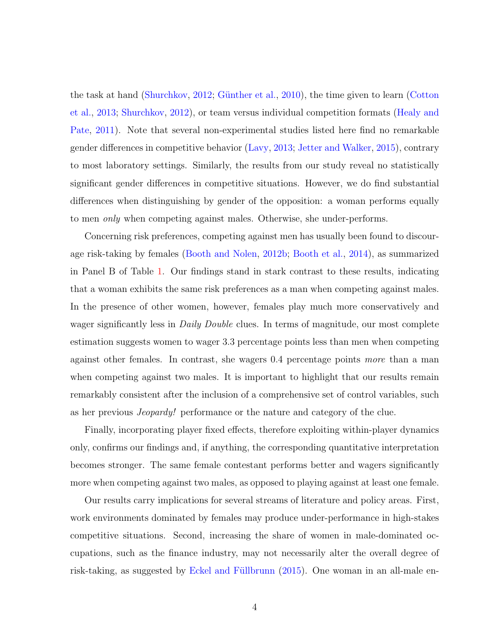the task at hand [\(Shurchkov,](#page-40-1) [2012;](#page-40-1) Günther et al., [2010\)](#page-37-4), the time given to learn [\(Cotton](#page-36-7) [et al.,](#page-36-7) [2013;](#page-36-7) [Shurchkov,](#page-40-1) [2012\)](#page-40-1), or team versus individual competition formats [\(Healy and](#page-38-3) [Pate,](#page-38-3) [2011\)](#page-38-3). Note that several non-experimental studies listed here find no remarkable gender differences in competitive behavior [\(Lavy,](#page-38-2) [2013;](#page-38-2) [Jetter and Walker,](#page-38-1) [2015\)](#page-38-1), contrary to most laboratory settings. Similarly, the results from our study reveal no statistically significant gender differences in competitive situations. However, we do find substantial differences when distinguishing by gender of the opposition: a woman performs equally to men only when competing against males. Otherwise, she under-performs.

Concerning risk preferences, competing against men has usually been found to discourage risk-taking by females [\(Booth and Nolen,](#page-36-8) [2012b;](#page-36-8) [Booth et al.,](#page-36-1) [2014\)](#page-36-1), as summarized in Panel B of Table [1.](#page-5-0) Our findings stand in stark contrast to these results, indicating that a woman exhibits the same risk preferences as a man when competing against males. In the presence of other women, however, females play much more conservatively and wager significantly less in *Daily Double* clues. In terms of magnitude, our most complete estimation suggests women to wager 3.3 percentage points less than men when competing against other females. In contrast, she wagers 0.4 percentage points more than a man when competing against two males. It is important to highlight that our results remain remarkably consistent after the inclusion of a comprehensive set of control variables, such as her previous Jeopardy! performance or the nature and category of the clue.

Finally, incorporating player fixed effects, therefore exploiting within-player dynamics only, confirms our findings and, if anything, the corresponding quantitative interpretation becomes stronger. The same female contestant performs better and wagers significantly more when competing against two males, as opposed to playing against at least one female.

Our results carry implications for several streams of literature and policy areas. First, work environments dominated by females may produce under-performance in high-stakes competitive situations. Second, increasing the share of women in male-dominated occupations, such as the finance industry, may not necessarily alter the overall degree of risk-taking, as suggested by Eckel and Füllbrunn  $(2015)$ . One woman in an all-male en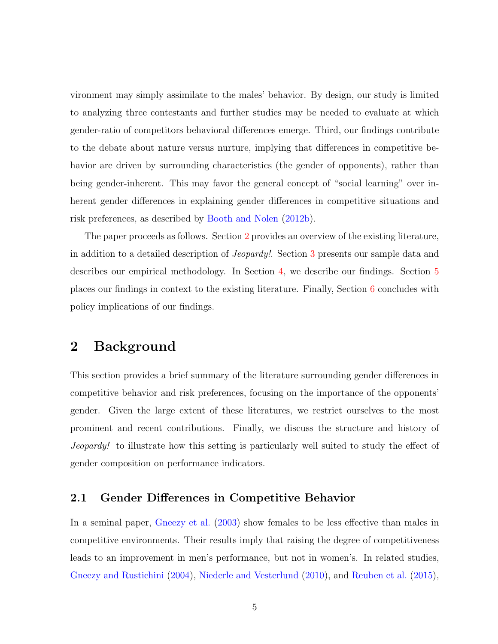vironment may simply assimilate to the males' behavior. By design, our study is limited to analyzing three contestants and further studies may be needed to evaluate at which gender-ratio of competitors behavioral differences emerge. Third, our findings contribute to the debate about nature versus nurture, implying that differences in competitive behavior are driven by surrounding characteristics (the gender of opponents), rather than being gender-inherent. This may favor the general concept of "social learning" over inherent gender differences in explaining gender differences in competitive situations and risk preferences, as described by [Booth and Nolen](#page-36-8) [\(2012b\)](#page-36-8).

The paper proceeds as follows. Section [2](#page-7-0) provides an overview of the existing literature, in addition to a detailed description of Jeopardy!. Section [3](#page-13-0) presents our sample data and describes our empirical methodology. In Section [4,](#page-20-0) we describe our findings. Section [5](#page-32-0) places our findings in context to the existing literature. Finally, Section [6](#page-34-0) concludes with policy implications of our findings.

## <span id="page-7-0"></span>2 Background

This section provides a brief summary of the literature surrounding gender differences in competitive behavior and risk preferences, focusing on the importance of the opponents' gender. Given the large extent of these literatures, we restrict ourselves to the most prominent and recent contributions. Finally, we discuss the structure and history of Jeopardy! to illustrate how this setting is particularly well suited to study the effect of gender composition on performance indicators.

#### 2.1 Gender Differences in Competitive Behavior

In a seminal paper, [Gneezy et al.](#page-37-6)  $(2003)$  show females to be less effective than males in competitive environments. Their results imply that raising the degree of competitiveness leads to an improvement in men's performance, but not in women's. In related studies, [Gneezy and Rustichini](#page-37-5) [\(2004\)](#page-37-5), [Niederle and Vesterlund](#page-39-5) [\(2010\)](#page-39-5), and [Reuben et al.](#page-39-6) [\(2015\)](#page-39-6),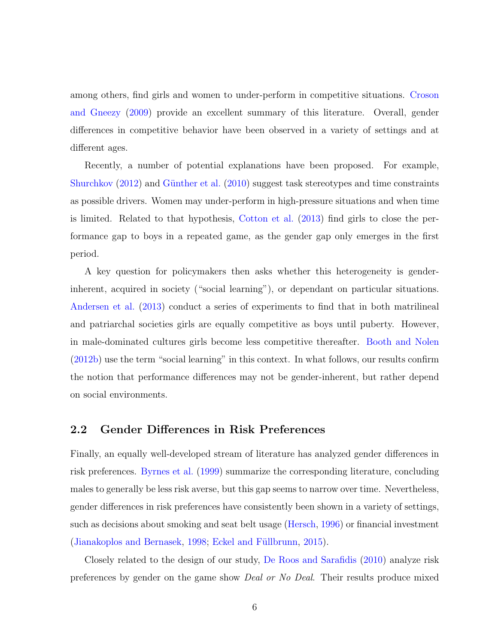among others, find girls and women to under-perform in competitive situations. [Croson](#page-37-8) [and Gneezy](#page-37-8) [\(2009\)](#page-37-8) provide an excellent summary of this literature. Overall, gender differences in competitive behavior have been observed in a variety of settings and at different ages.

Recently, a number of potential explanations have been proposed. For example, [Shurchkov](#page-40-1)  $(2012)$  and Günther et al.  $(2010)$  suggest task stereotypes and time constraints as possible drivers. Women may under-perform in high-pressure situations and when time is limited. Related to that hypothesis, [Cotton et al.](#page-36-7) [\(2013\)](#page-36-7) find girls to close the performance gap to boys in a repeated game, as the gender gap only emerges in the first period.

A key question for policymakers then asks whether this heterogeneity is genderinherent, acquired in society ("social learning"), or dependant on particular situations. [Andersen et al.](#page-36-9) [\(2013\)](#page-36-9) conduct a series of experiments to find that in both matrilineal and patriarchal societies girls are equally competitive as boys until puberty. However, in male-dominated cultures girls become less competitive thereafter. [Booth and Nolen](#page-36-8) [\(2012b\)](#page-36-8) use the term "social learning" in this context. In what follows, our results confirm the notion that performance differences may not be gender-inherent, but rather depend on social environments.

#### 2.2 Gender Differences in Risk Preferences

Finally, an equally well-developed stream of literature has analyzed gender differences in risk preferences. [Byrnes et al.](#page-36-0) [\(1999\)](#page-36-0) summarize the corresponding literature, concluding males to generally be less risk averse, but this gap seems to narrow over time. Nevertheless, gender differences in risk preferences have consistently been shown in a variety of settings, such as decisions about smoking and seat belt usage [\(Hersch,](#page-38-4) [1996\)](#page-38-4) or financial investment [\(Jianakoplos and Bernasek,](#page-38-5) [1998;](#page-38-5) Eckel and Füllbrunn, [2015\)](#page-37-1).

Closely related to the design of our study, [De Roos and Sarafidis](#page-37-7) [\(2010\)](#page-37-7) analyze risk preferences by gender on the game show Deal or No Deal. Their results produce mixed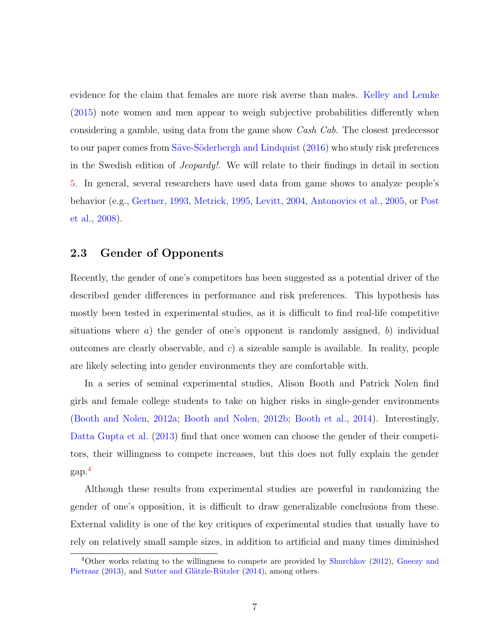evidence for the claim that females are more risk averse than males. [Kelley and Lemke](#page-38-6) [\(2015\)](#page-38-6) note women and men appear to weigh subjective probabilities differently when considering a gamble, using data from the game show Cash Cab. The closest predecessor to our paper comes from Säve-Söderbergh and Lindquist [\(2016\)](#page-40-2) who study risk preferences in the Swedish edition of Jeopardy!. We will relate to their findings in detail in section [5.](#page-32-0) In general, several researchers have used data from game shows to analyze people's behavior (e.g., [Gertner,](#page-37-9) [1993,](#page-37-9) [Metrick,](#page-39-7) [1995,](#page-39-7) [Levitt,](#page-38-7) [2004,](#page-38-7) [Antonovics et al.,](#page-36-10) [2005,](#page-36-10) or [Post](#page-39-8) [et al.,](#page-39-8) [2008\)](#page-39-8).

#### 2.3 Gender of Opponents

Recently, the gender of one's competitors has been suggested as a potential driver of the described gender differences in performance and risk preferences. This hypothesis has mostly been tested in experimental studies, as it is difficult to find real-life competitive situations where  $a$ ) the gender of one's opponent is randomly assigned, b) individual outcomes are clearly observable, and  $c$ ) a sizeable sample is available. In reality, people are likely selecting into gender environments they are comfortable with.

In a series of seminal experimental studies, Alison Booth and Patrick Nolen find girls and female college students to take on higher risks in single-gender environments [\(Booth and Nolen,](#page-36-11) [2012a;](#page-36-11) [Booth and Nolen,](#page-36-8) [2012b;](#page-36-8) [Booth et al.,](#page-36-1) [2014\)](#page-36-1). Interestingly, [Datta Gupta et al.](#page-37-10) [\(2013\)](#page-37-10) find that once women can choose the gender of their competitors, their willingness to compete increases, but this does not fully explain the gender gap.[4](#page-9-0)

Although these results from experimental studies are powerful in randomizing the gender of one's opposition, it is difficult to draw generalizable conclusions from these. External validity is one of the key critiques of experimental studies that usually have to rely on relatively small sample sizes, in addition to artificial and many times diminished

<span id="page-9-0"></span><sup>4</sup>Other works relating to the willingness to compete are provided by [Shurchkov](#page-40-1) [\(2012\)](#page-40-1), [Gneezy and](#page-37-11) [Pietrasz](#page-37-11) [\(2013\)](#page-37-11), and Sutter and Glätzle-Rützler [\(2014\)](#page-40-3), among others.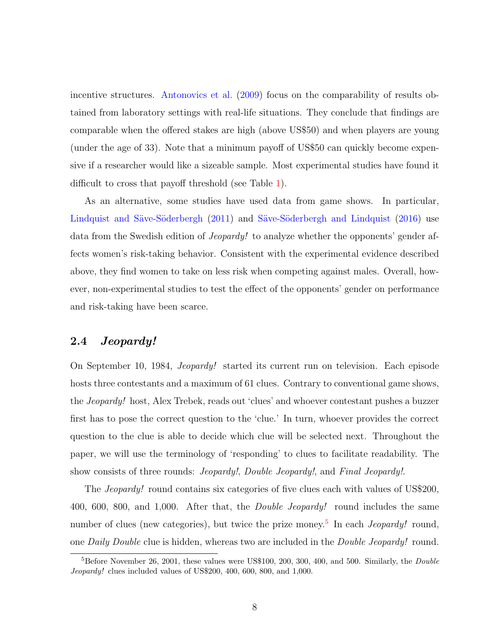incentive structures. [Antonovics et al.](#page-36-12) [\(2009\)](#page-36-12) focus on the comparability of results obtained from laboratory settings with real-life situations. They conclude that findings are comparable when the offered stakes are high (above US\$50) and when players are young (under the age of 33). Note that a minimum payoff of US\$50 can quickly become expensive if a researcher would like a sizeable sample. Most experimental studies have found it difficult to cross that payoff threshold (see Table [1\)](#page-5-0).

As an alternative, some studies have used data from game shows. In particular, Lindquist and Säve-Söderbergh [\(2011\)](#page-39-9) and Säve-Söderbergh and Lindquist [\(2016\)](#page-40-2) use data from the Swedish edition of Jeopardy! to analyze whether the opponents' gender affects women's risk-taking behavior. Consistent with the experimental evidence described above, they find women to take on less risk when competing against males. Overall, however, non-experimental studies to test the effect of the opponents' gender on performance and risk-taking have been scarce.

#### <span id="page-10-1"></span>2.4 Jeopardy!

On September 10, 1984, Jeopardy! started its current run on television. Each episode hosts three contestants and a maximum of 61 clues. Contrary to conventional game shows, the Jeopardy! host, Alex Trebek, reads out 'clues' and whoever contestant pushes a buzzer first has to pose the correct question to the 'clue.' In turn, whoever provides the correct question to the clue is able to decide which clue will be selected next. Throughout the paper, we will use the terminology of 'responding' to clues to facilitate readability. The show consists of three rounds: *Jeopardy!*, *Double Jeopardy!*, and *Final Jeopardy!*.

The *Jeopardy!* round contains six categories of five clues each with values of US\$200, 400, 600, 800, and 1,000. After that, the Double Jeopardy! round includes the same number of clues (new categories), but twice the prize money.<sup>[5](#page-10-0)</sup> In each *Jeopardy!* round, one Daily Double clue is hidden, whereas two are included in the Double Jeopardy! round.

<span id="page-10-0"></span> ${}^{5}$ Before November 26, 2001, these values were US\$100, 200, 300, 400, and 500. Similarly, the *Double* Jeopardy! clues included values of US\$200, 400, 600, 800, and 1,000.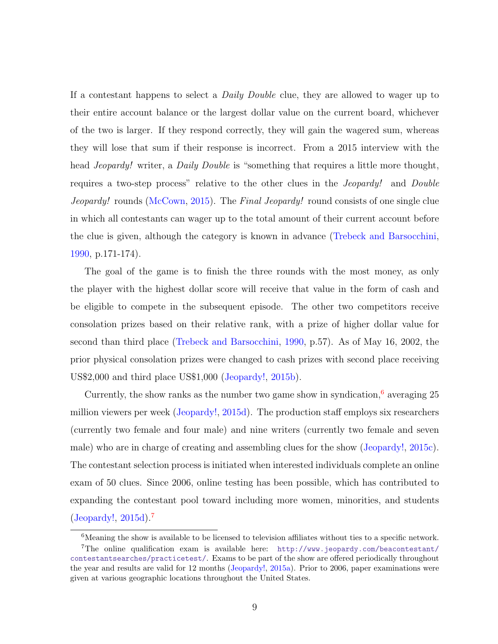If a contestant happens to select a Daily Double clue, they are allowed to wager up to their entire account balance or the largest dollar value on the current board, whichever of the two is larger. If they respond correctly, they will gain the wagered sum, whereas they will lose that sum if their response is incorrect. From a 2015 interview with the head *Jeopardy!* writer, a *Daily Double* is "something that requires a little more thought, requires a two-step process" relative to the other clues in the Jeopardy! and Double Jeopardy! rounds [\(McCown,](#page-39-10) [2015\)](#page-39-10). The Final Jeopardy! round consists of one single clue in which all contestants can wager up to the total amount of their current account before the clue is given, although the category is known in advance [\(Trebeck and Barsocchini,](#page-40-4) [1990,](#page-40-4) p.171-174).

The goal of the game is to finish the three rounds with the most money, as only the player with the highest dollar score will receive that value in the form of cash and be eligible to compete in the subsequent episode. The other two competitors receive consolation prizes based on their relative rank, with a prize of higher dollar value for second than third place [\(Trebeck and Barsocchini,](#page-40-4) [1990,](#page-40-4) p.57). As of May 16, 2002, the prior physical consolation prizes were changed to cash prizes with second place receiving US\$2,000 and third place US\$1,000 [\(Jeopardy!,](#page-38-8) [2015b\)](#page-38-8).

Currently, the show ranks as the number two game show in syndication, $6$  averaging 25 million viewers per week [\(Jeopardy!,](#page-38-9) [2015d\)](#page-38-9). The production staff employs six researchers (currently two female and four male) and nine writers (currently two female and seven male) who are in charge of creating and assembling clues for the show [\(Jeopardy!,](#page-38-10) [2015c\)](#page-38-10). The contestant selection process is initiated when interested individuals complete an online exam of 50 clues. Since 2006, online testing has been possible, which has contributed to expanding the contestant pool toward including more women, minorities, and students [\(Jeopardy!,](#page-38-9) [2015d\)](#page-38-9).[7](#page-11-1)

<span id="page-11-1"></span><span id="page-11-0"></span><sup>&</sup>lt;sup>6</sup>Meaning the show is available to be licensed to television affiliates without ties to a specific network. <sup>7</sup>The online qualification exam is available here: [http://www.jeopardy.com/beacontestant/](http://www.jeopardy.com/beacontestant/contestantsearches/practicetest/) [contestantsearches/practicetest/](http://www.jeopardy.com/beacontestant/contestantsearches/practicetest/). Exams to be part of the show are offered periodically throughout the year and results are valid for 12 months [\(Jeopardy!,](#page-38-11) [2015a\)](#page-38-11). Prior to 2006, paper examinations were given at various geographic locations throughout the United States.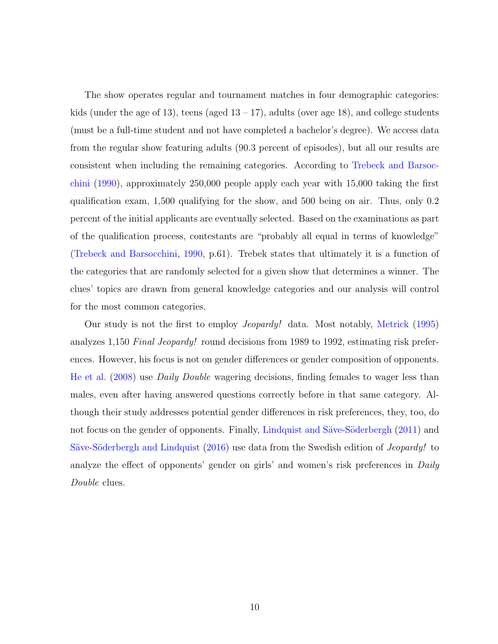The show operates regular and tournament matches in four demographic categories: kids (under the age of 13), teens (aged  $13 - 17$ ), adults (over age 18), and college students (must be a full-time student and not have completed a bachelor's degree). We access data from the regular show featuring adults (90.3 percent of episodes), but all our results are consistent when including the remaining categories. According to [Trebeck and Barsoc](#page-40-4)[chini](#page-40-4) [\(1990\)](#page-40-4), approximately 250,000 people apply each year with 15,000 taking the first qualification exam, 1,500 qualifying for the show, and 500 being on air. Thus, only 0.2 percent of the initial applicants are eventually selected. Based on the examinations as part of the qualification process, contestants are "probably all equal in terms of knowledge" [\(Trebeck and Barsocchini,](#page-40-4) [1990,](#page-40-4) p.61). Trebek states that ultimately it is a function of the categories that are randomly selected for a given show that determines a winner. The clues' topics are drawn from general knowledge categories and our analysis will control for the most common categories.

Our study is not the first to employ Jeopardy! data. Most notably, [Metrick](#page-39-7) [\(1995\)](#page-39-7) analyzes 1,150 Final Jeopardy! round decisions from 1989 to 1992, estimating risk preferences. However, his focus is not on gender differences or gender composition of opponents. [He et al.](#page-38-12) [\(2008\)](#page-38-12) use Daily Double wagering decisions, finding females to wager less than males, even after having answered questions correctly before in that same category. Although their study addresses potential gender differences in risk preferences, they, too, do not focus on the gender of opponents. Finally, Lindquist and Säve-Söderbergh [\(2011\)](#page-39-9) and Säve-Söderbergh and Lindquist [\(2016\)](#page-40-2) use data from the Swedish edition of *Jeopardy!* to analyze the effect of opponents' gender on girls' and women's risk preferences in Daily Double clues.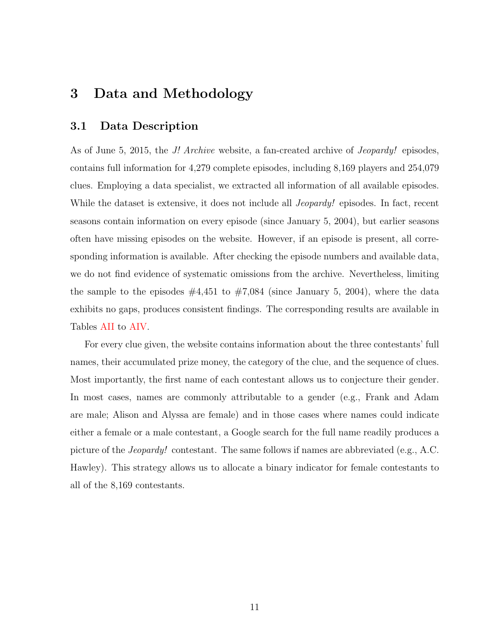# <span id="page-13-0"></span>3 Data and Methodology

#### 3.1 Data Description

As of June 5, 2015, the *J! Archive* website, a fan-created archive of *Jeopardy!* episodes, contains full information for 4,279 complete episodes, including 8,169 players and 254,079 clues. Employing a data specialist, we extracted all information of all available episodes. While the dataset is extensive, it does not include all *Jeopardy!* episodes. In fact, recent seasons contain information on every episode (since January 5, 2004), but earlier seasons often have missing episodes on the website. However, if an episode is present, all corresponding information is available. After checking the episode numbers and available data, we do not find evidence of systematic omissions from the archive. Nevertheless, limiting the sample to the episodes  $\#4,451$  to  $\#7,084$  (since January 5, 2004), where the data exhibits no gaps, produces consistent findings. The corresponding results are available in Tables [AII](#page-42-0) to [AIV.](#page-44-0)

For every clue given, the website contains information about the three contestants' full names, their accumulated prize money, the category of the clue, and the sequence of clues. Most importantly, the first name of each contestant allows us to conjecture their gender. In most cases, names are commonly attributable to a gender (e.g., Frank and Adam are male; Alison and Alyssa are female) and in those cases where names could indicate either a female or a male contestant, a Google search for the full name readily produces a picture of the Jeopardy! contestant. The same follows if names are abbreviated (e.g., A.C. Hawley). This strategy allows us to allocate a binary indicator for female contestants to all of the 8,169 contestants.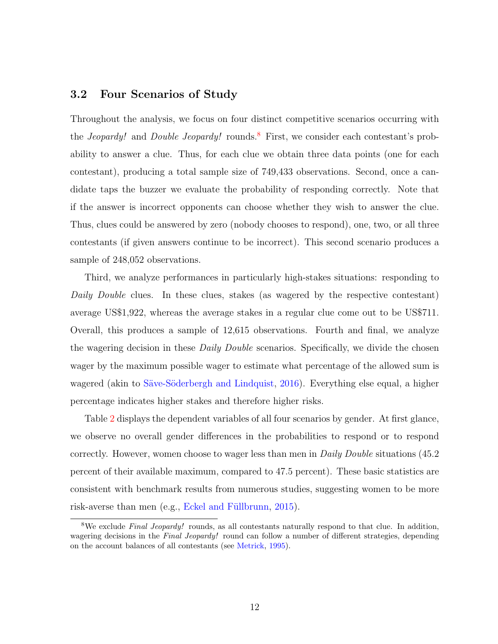#### 3.2 Four Scenarios of Study

Throughout the analysis, we focus on four distinct competitive scenarios occurring with the *Jeopardy!* and *Double Jeopardy!* rounds.<sup>[8](#page-14-0)</sup> First, we consider each contestant's probability to answer a clue. Thus, for each clue we obtain three data points (one for each contestant), producing a total sample size of 749,433 observations. Second, once a candidate taps the buzzer we evaluate the probability of responding correctly. Note that if the answer is incorrect opponents can choose whether they wish to answer the clue. Thus, clues could be answered by zero (nobody chooses to respond), one, two, or all three contestants (if given answers continue to be incorrect). This second scenario produces a sample of 248,052 observations.

Third, we analyze performances in particularly high-stakes situations: responding to Daily Double clues. In these clues, stakes (as wagered by the respective contestant) average US\$1,922, whereas the average stakes in a regular clue come out to be US\$711. Overall, this produces a sample of 12,615 observations. Fourth and final, we analyze the wagering decision in these *Daily Double* scenarios. Specifically, we divide the chosen wager by the maximum possible wager to estimate what percentage of the allowed sum is wagered (akin to Säve-Söderbergh and Lindquist, [2016\)](#page-40-2). Everything else equal, a higher percentage indicates higher stakes and therefore higher risks.

Table [2](#page-15-0) displays the dependent variables of all four scenarios by gender. At first glance, we observe no overall gender differences in the probabilities to respond or to respond correctly. However, women choose to wager less than men in *Daily Double* situations (45.2) percent of their available maximum, compared to 47.5 percent). These basic statistics are consistent with benchmark results from numerous studies, suggesting women to be more risk-averse than men  $(e.g., Eckel and Füllbrunn, 2015).$  $(e.g., Eckel and Füllbrunn, 2015).$  $(e.g., Eckel and Füllbrunn, 2015).$ 

<span id="page-14-0"></span><sup>&</sup>lt;sup>8</sup>We exclude *Final Jeopardy!* rounds, as all contestants naturally respond to that clue. In addition, wagering decisions in the Final Jeopardy! round can follow a number of different strategies, depending on the account balances of all contestants (see [Metrick,](#page-39-7) [1995\)](#page-39-7).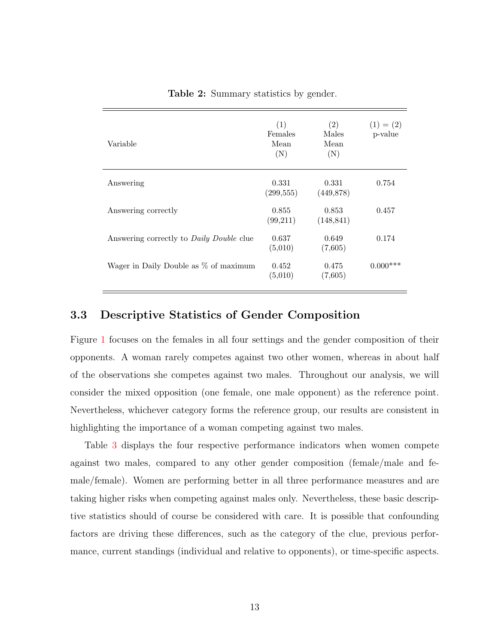<span id="page-15-0"></span>

| Variable                                        | (1)<br>Females<br>Mean<br>(N) | (2)<br>Males<br>Mean<br>(N) | $(1) = (2)$<br>p-value |
|-------------------------------------------------|-------------------------------|-----------------------------|------------------------|
| Answering                                       | 0.331<br>(299, 555)           | 0.331<br>(449, 878)         | 0.754                  |
| Answering correctly                             | 0.855<br>(99,211)             | 0.853<br>(148, 841)         | 0.457                  |
| Answering correctly to <i>Daily Double</i> clue | 0.637<br>(5,010)              | 0.649<br>(7,605)            | 0.174                  |
| Wager in Daily Double as % of maximum           | 0.452<br>(5,010)              | 0.475<br>(7,605)            | $0.000***$             |

Table 2: Summary statistics by gender.

#### 3.3 Descriptive Statistics of Gender Composition

Figure [1](#page-16-0) focuses on the females in all four settings and the gender composition of their opponents. A woman rarely competes against two other women, whereas in about half of the observations she competes against two males. Throughout our analysis, we will consider the mixed opposition (one female, one male opponent) as the reference point. Nevertheless, whichever category forms the reference group, our results are consistent in highlighting the importance of a woman competing against two males.

Table [3](#page-17-0) displays the four respective performance indicators when women compete against two males, compared to any other gender composition (female/male and female/female). Women are performing better in all three performance measures and are taking higher risks when competing against males only. Nevertheless, these basic descriptive statistics should of course be considered with care. It is possible that confounding factors are driving these differences, such as the category of the clue, previous performance, current standings (individual and relative to opponents), or time-specific aspects.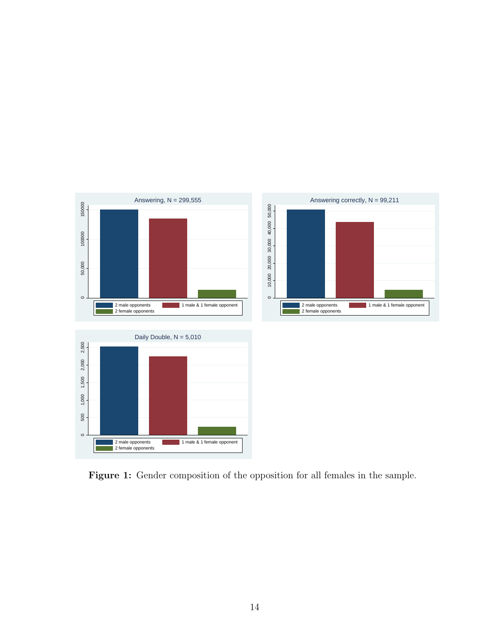<span id="page-16-0"></span>

Figure 1: Gender composition of the opposition for all females in the sample.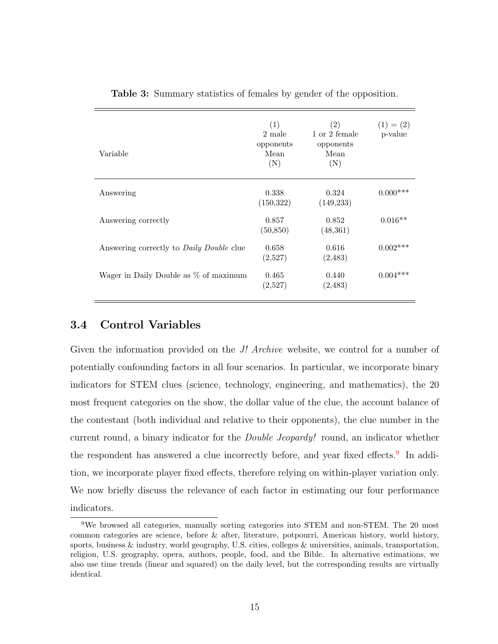<span id="page-17-0"></span>

| Variable                                        | (1)<br>2 male<br>opponents<br>Mean<br>(N) | (2)<br>1 or 2 female<br>opponents<br>Mean<br>(N) | $(1) = (2)$<br>p-value |
|-------------------------------------------------|-------------------------------------------|--------------------------------------------------|------------------------|
| Answering                                       | 0.338<br>(150, 322)                       | 0.324<br>(149, 233)                              | $0.000***$             |
| Answering correctly                             | 0.857<br>(50, 850)                        | 0.852<br>(48, 361)                               | $0.016**$              |
| Answering correctly to <i>Daily Double</i> clue | 0.658<br>(2,527)                          | 0.616<br>(2,483)                                 | $0.002***$             |
| Wager in Daily Double as $\%$ of maximum        | 0.465<br>(2,527)                          | 0.440<br>(2,483)                                 | $0.004***$             |

Table 3: Summary statistics of females by gender of the opposition.

#### 3.4 Control Variables

Given the information provided on the *J! Archive* website, we control for a number of potentially confounding factors in all four scenarios. In particular, we incorporate binary indicators for STEM clues (science, technology, engineering, and mathematics), the 20 most frequent categories on the show, the dollar value of the clue, the account balance of the contestant (both individual and relative to their opponents), the clue number in the current round, a binary indicator for the Double Jeopardy! round, an indicator whether the respondent has answered a clue incorrectly before, and year fixed effects.<sup>[9](#page-17-1)</sup> In addition, we incorporate player fixed effects, therefore relying on within-player variation only. We now briefly discuss the relevance of each factor in estimating our four performance indicators.

<span id="page-17-1"></span><sup>9</sup>We browsed all categories, manually sorting categories into STEM and non-STEM. The 20 most common categories are science, before & after, literature, potpourri, American history, world history, sports, business & industry, world geography, U.S. cities, colleges & universities, animals, transportation, religion, U.S. geography, opera, authors, people, food, and the Bible. In alternative estimations, we also use time trends (linear and squared) on the daily level, but the corresponding results are virtually identical.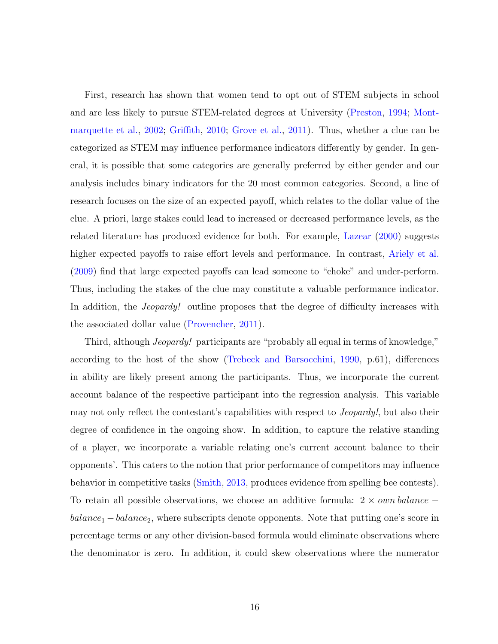First, research has shown that women tend to opt out of STEM subjects in school and are less likely to pursue STEM-related degrees at University [\(Preston,](#page-39-11) [1994;](#page-39-11) [Mont](#page-39-12)[marquette et al.,](#page-39-12) [2002;](#page-39-12) [Griffith,](#page-37-12) [2010;](#page-37-12) [Grove et al.,](#page-37-13) [2011\)](#page-37-13). Thus, whether a clue can be categorized as STEM may influence performance indicators differently by gender. In general, it is possible that some categories are generally preferred by either gender and our analysis includes binary indicators for the 20 most common categories. Second, a line of research focuses on the size of an expected payoff, which relates to the dollar value of the clue. A priori, large stakes could lead to increased or decreased performance levels, as the related literature has produced evidence for both. For example, [Lazear](#page-38-13) [\(2000\)](#page-38-13) suggests higher expected payoffs to raise effort levels and performance. In contrast, [Ariely et al.](#page-36-6) [\(2009\)](#page-36-6) find that large expected payoffs can lead someone to "choke" and under-perform. Thus, including the stakes of the clue may constitute a valuable performance indicator. In addition, the *Jeopardy!* outline proposes that the degree of difficulty increases with the associated dollar value [\(Provencher,](#page-39-13) [2011\)](#page-39-13).

Third, although *Jeopardy!* participants are "probably all equal in terms of knowledge," according to the host of the show [\(Trebeck and Barsocchini,](#page-40-4) [1990,](#page-40-4) p.61), differences in ability are likely present among the participants. Thus, we incorporate the current account balance of the respective participant into the regression analysis. This variable may not only reflect the contestant's capabilities with respect to Jeopardy!, but also their degree of confidence in the ongoing show. In addition, to capture the relative standing of a player, we incorporate a variable relating one's current account balance to their opponents'. This caters to the notion that prior performance of competitors may influence behavior in competitive tasks [\(Smith,](#page-40-5) [2013,](#page-40-5) produces evidence from spelling bee contests). To retain all possible observations, we choose an additive formula:  $2 \times own\ balance$  −  $balance_1 - balance_2$ , where subscripts denote opponents. Note that putting one's score in percentage terms or any other division-based formula would eliminate observations where the denominator is zero. In addition, it could skew observations where the numerator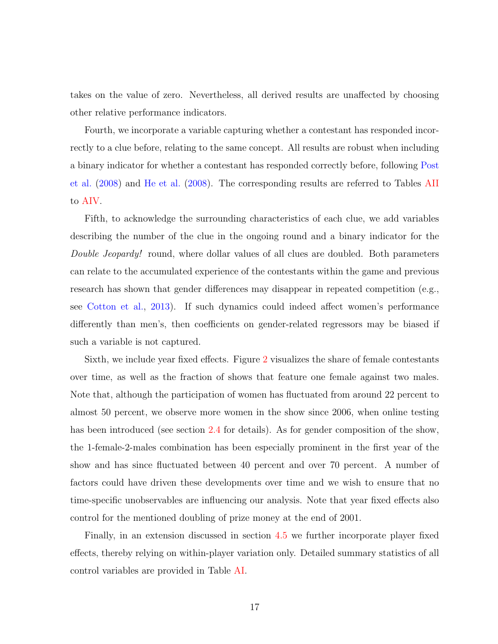takes on the value of zero. Nevertheless, all derived results are unaffected by choosing other relative performance indicators.

Fourth, we incorporate a variable capturing whether a contestant has responded incorrectly to a clue before, relating to the same concept. All results are robust when including a binary indicator for whether a contestant has responded correctly before, following [Post](#page-39-8) [et al.](#page-39-8) [\(2008\)](#page-39-8) and [He et al.](#page-38-12) [\(2008\)](#page-38-12). The corresponding results are referred to Tables [AII](#page-42-0) to [AIV.](#page-44-0)

Fifth, to acknowledge the surrounding characteristics of each clue, we add variables describing the number of the clue in the ongoing round and a binary indicator for the Double Jeopardy! round, where dollar values of all clues are doubled. Both parameters can relate to the accumulated experience of the contestants within the game and previous research has shown that gender differences may disappear in repeated competition (e.g., see [Cotton et al.,](#page-36-7) [2013\)](#page-36-7). If such dynamics could indeed affect women's performance differently than men's, then coefficients on gender-related regressors may be biased if such a variable is not captured.

Sixth, we include year fixed effects. Figure [2](#page-20-1) visualizes the share of female contestants over time, as well as the fraction of shows that feature one female against two males. Note that, although the participation of women has fluctuated from around 22 percent to almost 50 percent, we observe more women in the show since 2006, when online testing has been introduced (see section [2.4](#page-10-1) for details). As for gender composition of the show, the 1-female-2-males combination has been especially prominent in the first year of the show and has since fluctuated between 40 percent and over 70 percent. A number of factors could have driven these developments over time and we wish to ensure that no time-specific unobservables are influencing our analysis. Note that year fixed effects also control for the mentioned doubling of prize money at the end of 2001.

Finally, in an extension discussed in section [4.5](#page-28-0) we further incorporate player fixed effects, thereby relying on within-player variation only. Detailed summary statistics of all control variables are provided in Table [AI.](#page-41-0)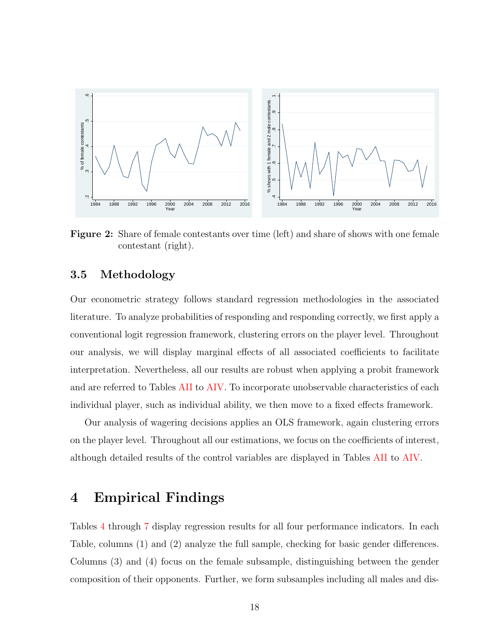<span id="page-20-1"></span>

Figure 2: Share of female contestants over time (left) and share of shows with one female contestant (right).

#### 3.5 Methodology

Our econometric strategy follows standard regression methodologies in the associated literature. To analyze probabilities of responding and responding correctly, we first apply a conventional logit regression framework, clustering errors on the player level. Throughout our analysis, we will display marginal effects of all associated coefficients to facilitate interpretation. Nevertheless, all our results are robust when applying a probit framework and are referred to Tables [AII](#page-42-0) to [AIV.](#page-44-0) To incorporate unobservable characteristics of each individual player, such as individual ability, we then move to a fixed effects framework.

Our analysis of wagering decisions applies an OLS framework, again clustering errors on the player level. Throughout all our estimations, we focus on the coefficients of interest, although detailed results of the control variables are displayed in Tables [AII](#page-42-0) to [AIV.](#page-44-0)

## <span id="page-20-0"></span>4 Empirical Findings

Tables [4](#page-22-0) through [7](#page-27-0) display regression results for all four performance indicators. In each Table, columns (1) and (2) analyze the full sample, checking for basic gender differences. Columns (3) and (4) focus on the female subsample, distinguishing between the gender composition of their opponents. Further, we form subsamples including all males and dis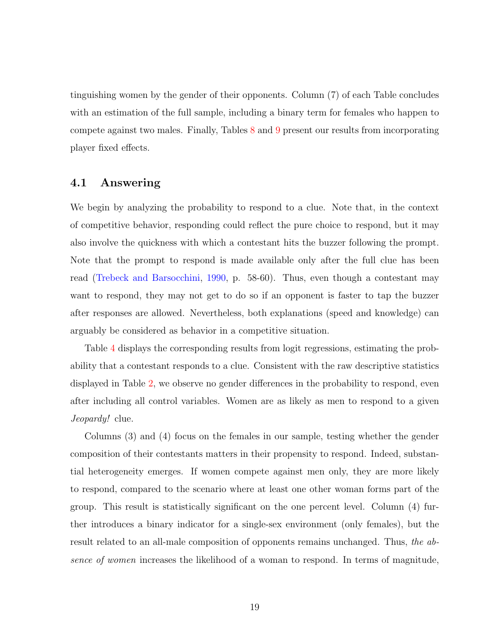tinguishing women by the gender of their opponents. Column (7) of each Table concludes with an estimation of the full sample, including a binary term for females who happen to compete against two males. Finally, Tables [8](#page-30-0) and [9](#page-31-0) present our results from incorporating player fixed effects.

#### 4.1 Answering

We begin by analyzing the probability to respond to a clue. Note that, in the context of competitive behavior, responding could reflect the pure choice to respond, but it may also involve the quickness with which a contestant hits the buzzer following the prompt. Note that the prompt to respond is made available only after the full clue has been read [\(Trebeck and Barsocchini,](#page-40-4) [1990,](#page-40-4) p. 58-60). Thus, even though a contestant may want to respond, they may not get to do so if an opponent is faster to tap the buzzer after responses are allowed. Nevertheless, both explanations (speed and knowledge) can arguably be considered as behavior in a competitive situation.

Table [4](#page-22-0) displays the corresponding results from logit regressions, estimating the probability that a contestant responds to a clue. Consistent with the raw descriptive statistics displayed in Table [2,](#page-15-0) we observe no gender differences in the probability to respond, even after including all control variables. Women are as likely as men to respond to a given Jeopardy! clue.

Columns (3) and (4) focus on the females in our sample, testing whether the gender composition of their contestants matters in their propensity to respond. Indeed, substantial heterogeneity emerges. If women compete against men only, they are more likely to respond, compared to the scenario where at least one other woman forms part of the group. This result is statistically significant on the one percent level. Column (4) further introduces a binary indicator for a single-sex environment (only females), but the result related to an all-male composition of opponents remains unchanged. Thus, the absence of women increases the likelihood of a woman to respond. In terms of magnitude,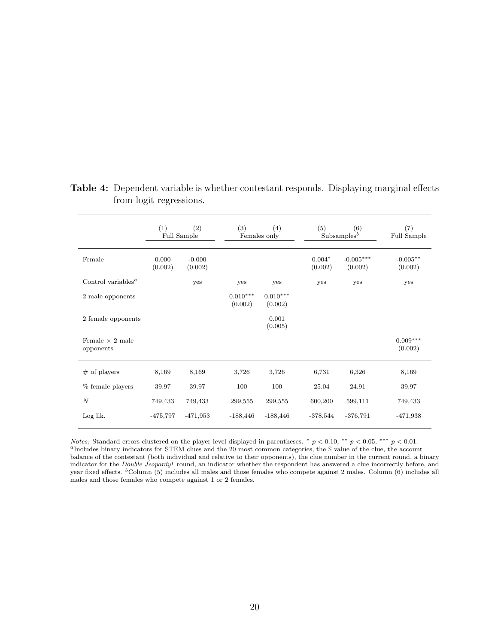|                                             | (1)              | (2)<br>Full Sample  | (3)                   | (4)<br>Females only   | (5)                 | (6)<br>Subsamples <sup>b</sup> | (7)<br>Full Sample    |
|---------------------------------------------|------------------|---------------------|-----------------------|-----------------------|---------------------|--------------------------------|-----------------------|
| Female                                      | 0.000<br>(0.002) | $-0.000$<br>(0.002) |                       |                       | $0.004*$<br>(0.002) | $-0.005***$<br>(0.002)         | $-0.005**$<br>(0.002) |
| Control variables <sup><math>a</math></sup> |                  | yes                 | yes                   | yes                   | yes                 | yes                            | yes                   |
| 2 male opponents                            |                  |                     | $0.010***$<br>(0.002) | $0.010***$<br>(0.002) |                     |                                |                       |
| 2 female opponents                          |                  |                     |                       | 0.001<br>(0.005)      |                     |                                |                       |
| Female $\times$ 2 male<br>opponents         |                  |                     |                       |                       |                     |                                | $0.009***$<br>(0.002) |
| $#$ of players                              | 8,169            | 8,169               | 3,726                 | 3,726                 | 6,731               | 6,326                          | 8,169                 |
| $%$ female players                          | 39.97            | 39.97               | 100                   | 100                   | 25.04               | 24.91                          | 39.97                 |
| $\boldsymbol{N}$                            | 749,433          | 749,433             | 299,555               | 299,555               | 600,200             | 599,111                        | 749,433               |
| Log lik.                                    | $-475,797$       | $-471,953$          | $-188,446$            | $-188,446$            | $-378,544$          | $-376,791$                     | $-471,938$            |

<span id="page-22-0"></span>Table 4: Dependent variable is whether contestant responds. Displaying marginal effects from logit regressions.

Notes: Standard errors clustered on the player level displayed in parentheses. \*  $p < 0.10$ , \*\*  $p < 0.05$ , \*\*\*  $p < 0.01$ . <sup>a</sup>Includes binary indicators for STEM clues and the 20 most common categories, the \$ value of the clue, the account balance of the contestant (both individual and relative to their opponents), the clue number in the current round, a binary indicator for the Double Jeopardy! round, an indicator whether the respondent has answered a clue incorrectly before, and year fixed effects.  ${}^{\text{b}}$  Column (5) includes all males and those females who compete against 2 males. Column (6) includes all males and those females who compete against 1 or 2 females.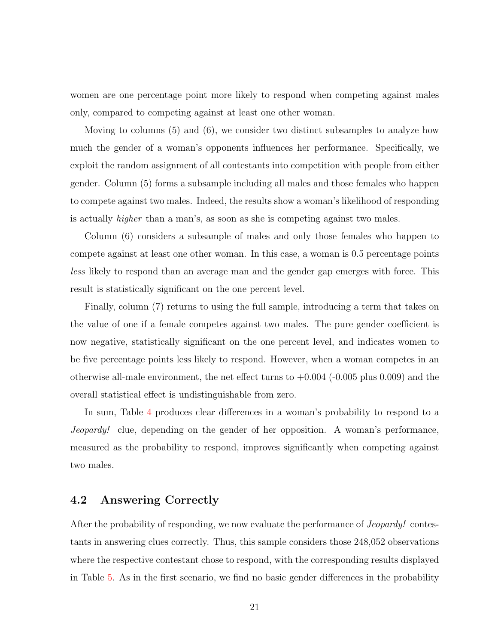women are one percentage point more likely to respond when competing against males only, compared to competing against at least one other woman.

Moving to columns (5) and (6), we consider two distinct subsamples to analyze how much the gender of a woman's opponents influences her performance. Specifically, we exploit the random assignment of all contestants into competition with people from either gender. Column (5) forms a subsample including all males and those females who happen to compete against two males. Indeed, the results show a woman's likelihood of responding is actually higher than a man's, as soon as she is competing against two males.

Column (6) considers a subsample of males and only those females who happen to compete against at least one other woman. In this case, a woman is 0.5 percentage points less likely to respond than an average man and the gender gap emerges with force. This result is statistically significant on the one percent level.

Finally, column (7) returns to using the full sample, introducing a term that takes on the value of one if a female competes against two males. The pure gender coefficient is now negative, statistically significant on the one percent level, and indicates women to be five percentage points less likely to respond. However, when a woman competes in an otherwise all-male environment, the net effect turns to  $+0.004$  ( $-0.005$  plus 0.009) and the overall statistical effect is undistinguishable from zero.

In sum, Table [4](#page-22-0) produces clear differences in a woman's probability to respond to a Jeopardy! clue, depending on the gender of her opposition. A woman's performance, measured as the probability to respond, improves significantly when competing against two males.

#### 4.2 Answering Correctly

After the probability of responding, we now evaluate the performance of *Jeopardy!* contestants in answering clues correctly. Thus, this sample considers those 248,052 observations where the respective contestant chose to respond, with the corresponding results displayed in Table [5.](#page-24-0) As in the first scenario, we find no basic gender differences in the probability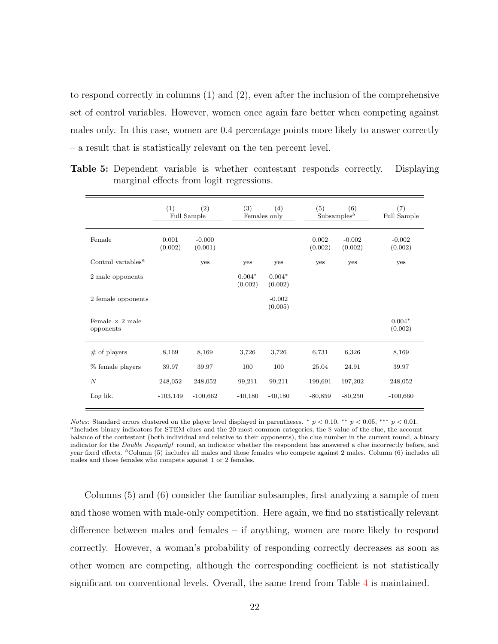to respond correctly in columns (1) and (2), even after the inclusion of the comprehensive set of control variables. However, women once again fare better when competing against males only. In this case, women are 0.4 percentage points more likely to answer correctly – a result that is statistically relevant on the ten percent level.

|                                             | (1)              | (2)<br>Full Sample  | (3)                 | (4)<br>Females only | (5)              | (6)<br>Subsamples <sup><math>b</math></sup> | (7)<br>Full Sample  |
|---------------------------------------------|------------------|---------------------|---------------------|---------------------|------------------|---------------------------------------------|---------------------|
| Female                                      | 0.001<br>(0.002) | $-0.000$<br>(0.001) |                     |                     | 0.002<br>(0.002) | $-0.002$<br>(0.002)                         | $-0.002$<br>(0.002) |
| Control variables <sup><math>a</math></sup> |                  | yes                 | yes                 | yes                 | yes              | yes                                         | yes                 |
| 2 male opponents                            |                  |                     | $0.004*$<br>(0.002) | $0.004*$<br>(0.002) |                  |                                             |                     |
| 2 female opponents                          |                  |                     |                     | $-0.002$<br>(0.005) |                  |                                             |                     |
| Female $\times$ 2 male<br>opponents         |                  |                     |                     |                     |                  |                                             | $0.004*$<br>(0.002) |
| $#$ of players                              | 8,169            | 8,169               | 3,726               | 3,726               | 6,731            | 6,326                                       | 8,169               |
| % female players                            | 39.97            | 39.97               | 100                 | 100                 | 25.04            | 24.91                                       | 39.97               |
| $\overline{N}$                              | 248,052          | 248,052             | 99,211              | 99,211              | 199,691          | 197,202                                     | 248,052             |
| Log lik.                                    | $-103,149$       | $-100,662$          | $-40,180$           | $-40,180$           | $-80,859$        | $-80,250$                                   | $-100,660$          |

<span id="page-24-0"></span>Table 5: Dependent variable is whether contestant responds correctly. Displaying marginal effects from logit regressions.

*Notes:* Standard errors clustered on the player level displayed in parentheses.  $* p < 0.10, ** p < 0.05, ** p < 0.01$ . <sup>a</sup>Includes binary indicators for STEM clues and the 20 most common categories, the \$ value of the clue, the account balance of the contestant (both individual and relative to their opponents), the clue number in the current round, a binary indicator for the Double Jeopardy! round, an indicator whether the respondent has answered a clue incorrectly before, and year fixed effects. <sup>b</sup>Column (5) includes all males and those females who compete against 2 males. Column (6) includes all males and those females who compete against 1 or 2 females.

Columns (5) and (6) consider the familiar subsamples, first analyzing a sample of men and those women with male-only competition. Here again, we find no statistically relevant difference between males and females – if anything, women are more likely to respond correctly. However, a woman's probability of responding correctly decreases as soon as other women are competing, although the corresponding coefficient is not statistically significant on conventional levels. Overall, the same trend from Table [4](#page-22-0) is maintained.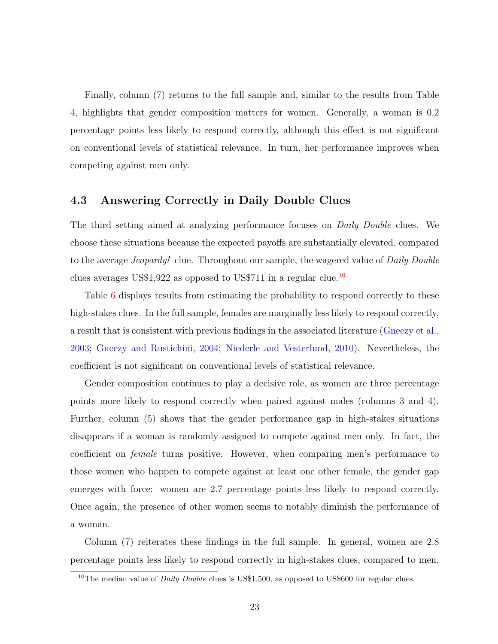Finally, column (7) returns to the full sample and, similar to the results from Table [4,](#page-22-0) highlights that gender composition matters for women. Generally, a woman is 0.2 percentage points less likely to respond correctly, although this effect is not significant on conventional levels of statistical relevance. In turn, her performance improves when competing against men only.

#### 4.3 Answering Correctly in Daily Double Clues

The third setting aimed at analyzing performance focuses on *Daily Double* clues. We choose these situations because the expected payoffs are substantially elevated, compared to the average *Jeopardy!* clue. Throughout our sample, the wagered value of *Daily Double* clues averages US\$1,922 as opposed to US\$711 in a regular clue.<sup>[10](#page-25-0)</sup>

Table [6](#page-26-0) displays results from estimating the probability to respond correctly to these high-stakes clues. In the full sample, females are marginally less likely to respond correctly, a result that is consistent with previous findings in the associated literature [\(Gneezy et al.,](#page-37-6) [2003;](#page-37-6) [Gneezy and Rustichini,](#page-37-5) [2004;](#page-37-5) [Niederle and Vesterlund,](#page-39-5) [2010\)](#page-39-5). Nevertheless, the coefficient is not significant on conventional levels of statistical relevance.

Gender composition continues to play a decisive role, as women are three percentage points more likely to respond correctly when paired against males (columns 3 and 4). Further, column (5) shows that the gender performance gap in high-stakes situations disappears if a woman is randomly assigned to compete against men only. In fact, the coefficient on female turns positive. However, when comparing men's performance to those women who happen to compete against at least one other female, the gender gap emerges with force: women are 2.7 percentage points less likely to respond correctly. Once again, the presence of other women seems to notably diminish the performance of a woman.

Column (7) reiterates these findings in the full sample. In general, women are 2.8 percentage points less likely to respond correctly in high-stakes clues, compared to men.

<span id="page-25-0"></span><sup>&</sup>lt;sup>10</sup>The median value of *Daily Double* clues is US\$1,500, as opposed to US\$600 for regular clues.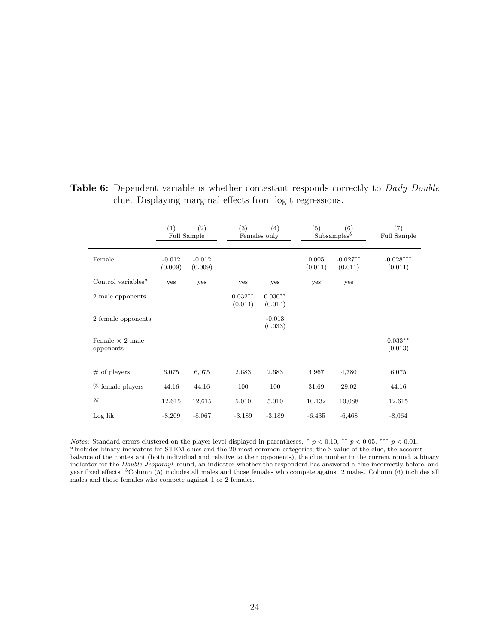|                                             | (1)                 | (2)<br>Full Sample  | (3)                  | (4)<br>Females only  | (5)              | (6)<br>Subsamples <sup>b</sup> | (7)<br>Full Sample     |
|---------------------------------------------|---------------------|---------------------|----------------------|----------------------|------------------|--------------------------------|------------------------|
| Female                                      | $-0.012$<br>(0.009) | $-0.012$<br>(0.009) |                      |                      | 0.005<br>(0.011) | $-0.027**$<br>(0.011)          | $-0.028***$<br>(0.011) |
| Control variables <sup><math>a</math></sup> | yes                 | yes                 | yes                  | yes                  | yes              | yes                            |                        |
| 2 male opponents                            |                     |                     | $0.032**$<br>(0.014) | $0.030**$<br>(0.014) |                  |                                |                        |
| 2 female opponents                          |                     |                     |                      | $-0.013$<br>(0.033)  |                  |                                |                        |
| Female $\times$ 2 male<br>opponents         |                     |                     |                      |                      |                  |                                | $0.033**$<br>(0.013)   |
| $#$ of players                              | 6,075               | 6,075               | 2,683                | 2,683                | 4,967            | 4,780                          | 6,075                  |
| % female players                            | 44.16               | 44.16               | 100                  | 100                  | 31.69            | 29.02                          | 44.16                  |
| $\boldsymbol{N}$                            | 12,615              | 12,615              | 5,010                | 5,010                | 10,132           | 10,088                         | 12,615                 |
| Log lik.                                    | $-8,209$            | $-8,067$            | $-3,189$             | $-3,189$             | $-6,435$         | $-6,468$                       | $-8,064$               |

<span id="page-26-0"></span>Table 6: Dependent variable is whether contestant responds correctly to *Daily Double* clue. Displaying marginal effects from logit regressions.

Notes: Standard errors clustered on the player level displayed in parentheses. \*  $p < 0.10$ , \*\*  $p < 0.05$ , \*\*\*  $p < 0.01$ . <sup>a</sup>Includes binary indicators for STEM clues and the 20 most common categories, the \$ value of the clue, the account balance of the contestant (both individual and relative to their opponents), the clue number in the current round, a binary indicator for the Double Jeopardy! round, an indicator whether the respondent has answered a clue incorrectly before, and year fixed effects.  ${}^{\text{b}}$  Column (5) includes all males and those females who compete against 2 males. Column (6) includes all males and those females who compete against 1 or 2 females.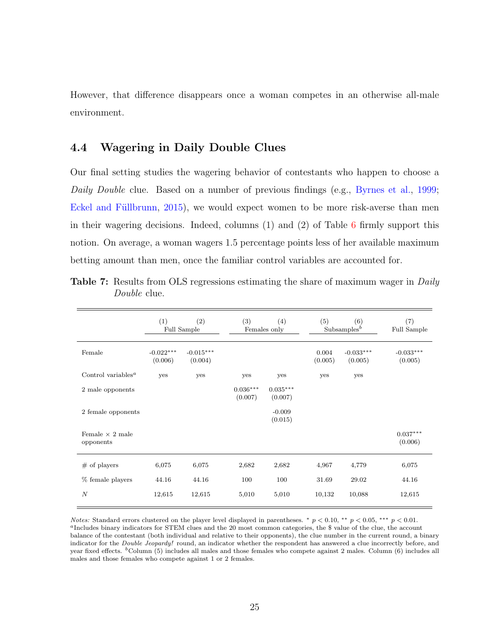However, that difference disappears once a woman competes in an otherwise all-male environment.

#### 4.4 Wagering in Daily Double Clues

Our final setting studies the wagering behavior of contestants who happen to choose a Daily Double clue. Based on a number of previous findings (e.g., [Byrnes et al.,](#page-36-0) [1999;](#page-36-0) Eckel and Füllbrunn, [2015\)](#page-37-1), we would expect women to be more risk-averse than men in their wagering decisions. Indeed, columns  $(1)$  and  $(2)$  of Table [6](#page-26-0) firmly support this notion. On average, a woman wagers 1.5 percentage points less of her available maximum betting amount than men, once the familiar control variables are accounted for.

|                                             | (1)                    | (2)<br>Full Sample     | (3)                   | (4)<br>Females only   | (5)              | (6)<br>$Subsamples^{b}$ | (7)<br>Full Sample     |
|---------------------------------------------|------------------------|------------------------|-----------------------|-----------------------|------------------|-------------------------|------------------------|
| Female                                      | $-0.022***$<br>(0.006) | $-0.015***$<br>(0.004) |                       |                       | 0.004<br>(0.005) | $-0.033***$<br>(0.005)  | $-0.033***$<br>(0.005) |
| Control variables <sup><math>a</math></sup> | yes                    | yes                    | yes                   | yes                   | yes              | yes                     |                        |
| 2 male opponents                            |                        |                        | $0.036***$<br>(0.007) | $0.035***$<br>(0.007) |                  |                         |                        |
| 2 female opponents                          |                        |                        |                       | $-0.009$<br>(0.015)   |                  |                         |                        |
| Female $\times$ 2 male<br>opponents         |                        |                        |                       |                       |                  |                         | $0.037***$<br>(0.006)  |
| $#$ of players                              | 6,075                  | 6,075                  | 2,682                 | 2,682                 | 4,967            | 4,779                   | 6,075                  |
| $%$ female players                          | 44.16                  | 44.16                  | 100                   | 100                   | 31.69            | 29.02                   | 44.16                  |
| $\boldsymbol{N}$                            | 12,615                 | 12,615                 | 5,010                 | 5,010                 | 10,132           | 10,088                  | 12,615                 |

<span id="page-27-0"></span>Table 7: Results from OLS regressions estimating the share of maximum wager in *Daily* Double clue.

*Notes:* Standard errors clustered on the player level displayed in parentheses. \*  $p < 0.10$ , \*\*  $p < 0.05$ , \*\*\*  $p < 0.01$ . <sup>a</sup>Includes binary indicators for STEM clues and the 20 most common categories, the \$ value of the clue, the account balance of the contestant (both individual and relative to their opponents), the clue number in the current round, a binary indicator for the *Double Jeopardy!* round, an indicator whether the respondent has answered a clue incorrectly before, and year fixed effects. <sup>b</sup>Column (5) includes all males and those females who compete against 2 males. Column (6) includes all males and those females who compete against 1 or 2 females.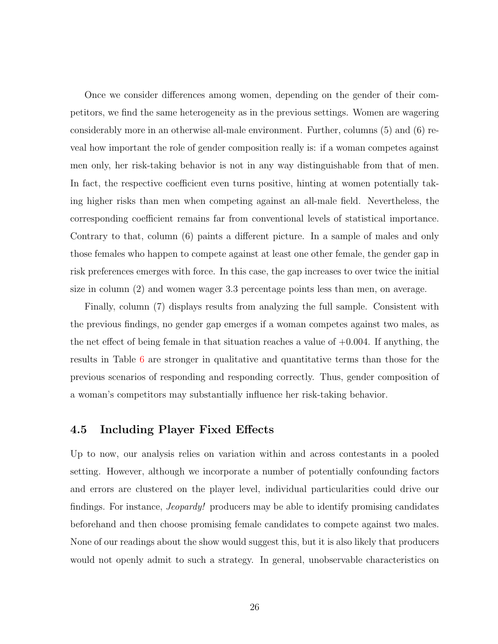Once we consider differences among women, depending on the gender of their competitors, we find the same heterogeneity as in the previous settings. Women are wagering considerably more in an otherwise all-male environment. Further, columns (5) and (6) reveal how important the role of gender composition really is: if a woman competes against men only, her risk-taking behavior is not in any way distinguishable from that of men. In fact, the respective coefficient even turns positive, hinting at women potentially taking higher risks than men when competing against an all-male field. Nevertheless, the corresponding coefficient remains far from conventional levels of statistical importance. Contrary to that, column (6) paints a different picture. In a sample of males and only those females who happen to compete against at least one other female, the gender gap in risk preferences emerges with force. In this case, the gap increases to over twice the initial size in column (2) and women wager 3.3 percentage points less than men, on average.

Finally, column (7) displays results from analyzing the full sample. Consistent with the previous findings, no gender gap emerges if a woman competes against two males, as the net effect of being female in that situation reaches a value of  $+0.004$ . If anything, the results in Table [6](#page-26-0) are stronger in qualitative and quantitative terms than those for the previous scenarios of responding and responding correctly. Thus, gender composition of a woman's competitors may substantially influence her risk-taking behavior.

#### <span id="page-28-0"></span>4.5 Including Player Fixed Effects

Up to now, our analysis relies on variation within and across contestants in a pooled setting. However, although we incorporate a number of potentially confounding factors and errors are clustered on the player level, individual particularities could drive our findings. For instance, Jeopardy! producers may be able to identify promising candidates beforehand and then choose promising female candidates to compete against two males. None of our readings about the show would suggest this, but it is also likely that producers would not openly admit to such a strategy. In general, unobservable characteristics on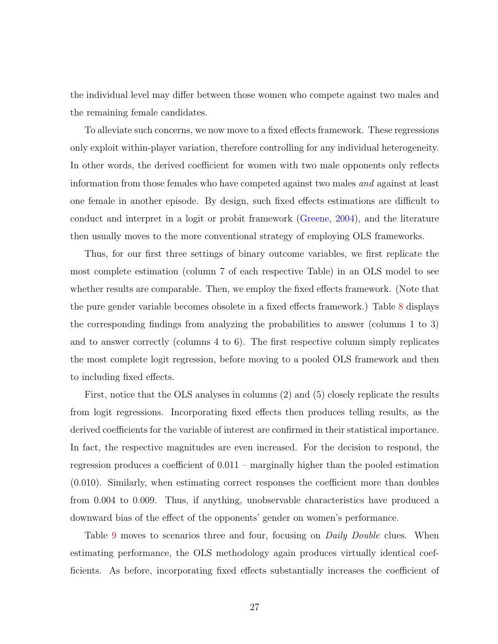the individual level may differ between those women who compete against two males and the remaining female candidates.

To alleviate such concerns, we now move to a fixed effects framework. These regressions only exploit within-player variation, therefore controlling for any individual heterogeneity. In other words, the derived coefficient for women with two male opponents only reflects information from those females who have competed against two males and against at least one female in another episode. By design, such fixed effects estimations are difficult to conduct and interpret in a logit or probit framework [\(Greene,](#page-37-14) [2004\)](#page-37-14), and the literature then usually moves to the more conventional strategy of employing OLS frameworks.

Thus, for our first three settings of binary outcome variables, we first replicate the most complete estimation (column 7 of each respective Table) in an OLS model to see whether results are comparable. Then, we employ the fixed effects framework. (Note that the pure gender variable becomes obsolete in a fixed effects framework.) Table [8](#page-30-0) displays the corresponding findings from analyzing the probabilities to answer (columns 1 to 3) and to answer correctly (columns 4 to 6). The first respective column simply replicates the most complete logit regression, before moving to a pooled OLS framework and then to including fixed effects.

First, notice that the OLS analyses in columns (2) and (5) closely replicate the results from logit regressions. Incorporating fixed effects then produces telling results, as the derived coefficients for the variable of interest are confirmed in their statistical importance. In fact, the respective magnitudes are even increased. For the decision to respond, the regression produces a coefficient of 0.011 – marginally higher than the pooled estimation (0.010). Similarly, when estimating correct responses the coefficient more than doubles from 0.004 to 0.009. Thus, if anything, unobservable characteristics have produced a downward bias of the effect of the opponents' gender on women's performance.

Table [9](#page-31-0) moves to scenarios three and four, focusing on *Daily Double* clues. When estimating performance, the OLS methodology again produces virtually identical coefficients. As before, incorporating fixed effects substantially increases the coefficient of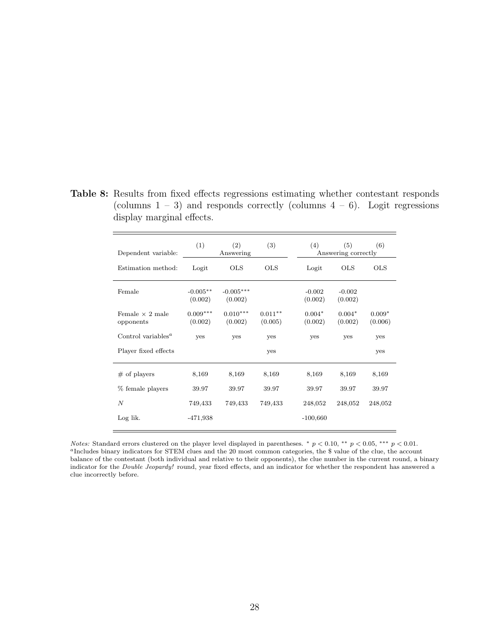| Dependent variable:                         | (1)                   | (2)<br>Answering       | (3)                  | (4)                 | (5)<br>Answering correctly | (6)                 |
|---------------------------------------------|-----------------------|------------------------|----------------------|---------------------|----------------------------|---------------------|
| Estimation method:                          | Logit                 | <b>OLS</b>             | <b>OLS</b>           | Logit               | <b>OLS</b>                 | <b>OLS</b>          |
| Female                                      | $-0.005**$<br>(0.002) | $-0.005***$<br>(0.002) |                      | $-0.002$<br>(0.002) | $-0.002$<br>(0.002)        |                     |
| Female $\times$ 2 male<br>opponents         | $0.009***$<br>(0.002) | $0.010***$<br>(0.002)  | $0.011**$<br>(0.005) | $0.004*$<br>(0.002) | $0.004*$<br>(0.002)        | $0.009*$<br>(0.006) |
| Control variables <sup><math>a</math></sup> | <b>ves</b>            | yes                    | yes                  | yes                 | yes                        | yes                 |
| Player fixed effects                        |                       |                        | yes                  |                     |                            | yes                 |
| $#$ of players                              | 8,169                 | 8,169                  | 8,169                | 8,169               | 8,169                      | 8,169               |
| % female players                            | 39.97                 | 39.97                  | 39.97                | 39.97               | 39.97                      | 39.97               |
| $\boldsymbol{N}$                            | 749,433               | 749,433                | 749,433              | 248,052             | 248,052                    | 248,052             |
| Log lik.                                    | -471,938              |                        |                      | $-100,660$          |                            |                     |

<span id="page-30-0"></span>Table 8: Results from fixed effects regressions estimating whether contestant responds (columns  $1 - 3$ ) and responds correctly (columns  $4 - 6$ ). Logit regressions display marginal effects.

*Notes:* Standard errors clustered on the player level displayed in parentheses. \*  $p < 0.10$ , \*\*  $p < 0.05$ , \*\*\*  $p < 0.01$ . <sup>a</sup>Includes binary indicators for STEM clues and the 20 most common categories, the \$ value of the clue, the account balance of the contestant (both individual and relative to their opponents), the clue number in the current round, a binary indicator for the Double Jeopardy! round, year fixed effects, and an indicator for whether the respondent has answered a clue incorrectly before.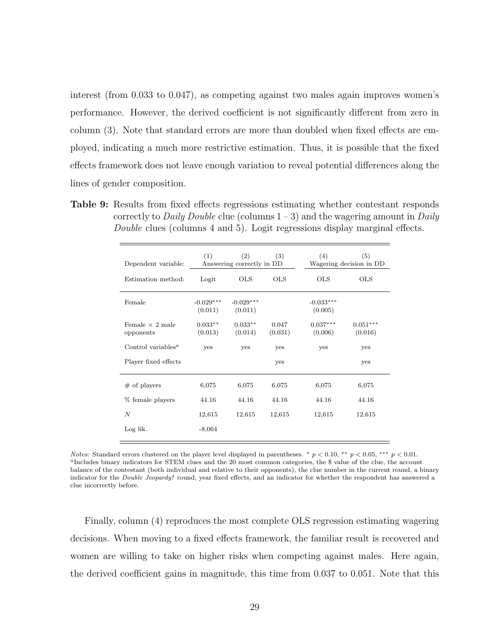interest (from 0.033 to 0.047), as competing against two males again improves women's performance. However, the derived coefficient is not significantly different from zero in column (3). Note that standard errors are more than doubled when fixed effects are employed, indicating a much more restrictive estimation. Thus, it is possible that the fixed effects framework does not leave enough variation to reveal potential differences along the lines of gender composition.

<span id="page-31-0"></span>Table 9: Results from fixed effects regressions estimating whether contestant responds correctly to *Daily Double* clue (columns  $1-3$ ) and the wagering amount in *Daily* Double clues (columns 4 and 5). Logit regressions display marginal effects.

| Dependent variable:                         | (1)                    | (2)<br>Answering correctly in DD | (3)              | (4)                    | (5)<br>Wagering decision in DD |
|---------------------------------------------|------------------------|----------------------------------|------------------|------------------------|--------------------------------|
| Estimation method:                          | Logit                  | <b>OLS</b>                       | <b>OLS</b>       | <b>OLS</b>             | <b>OLS</b>                     |
| Female                                      | $-0.029***$<br>(0.011) | $-0.029***$<br>(0.011)           |                  | $-0.033***$<br>(0.005) |                                |
| Female $\times$ 2 male<br>opponents         | $0.033**$<br>(0.013)   | $0.033**$<br>(0.014)             | 0.047<br>(0.031) | $0.037***$<br>(0.006)  | $0.051***$<br>(0.016)          |
| Control variables <sup><math>a</math></sup> | yes                    | yes                              | yes              | yes                    | yes                            |
| Player fixed effects                        |                        |                                  | yes              |                        | yes                            |
| $#$ of players                              | 6,075                  | 6,075                            | 6,075            | 6,075                  | 6,075                          |
| % female players                            | 44.16                  | 44.16                            | 44.16            | 44.16                  | 44.16                          |
| N                                           | 12,615                 | 12,615                           | 12,615           | 12,615                 | 12,615                         |
| Log lik.                                    | $-8,064$               |                                  |                  |                        |                                |

Notes: Standard errors clustered on the player level displayed in parentheses. \*  $p < 0.10$ , \*\*  $p < 0.05$ , \*\*\*  $p < 0.01$ .  $a$ Includes binary indicators for STEM clues and the 20 most common categories, the \$ value of the clue, the account balance of the contestant (both individual and relative to their opponents), the clue number in the current round, a binary indicator for the Double Jeopardy! round, year fixed effects, and an indicator for whether the respondent has answered a clue incorrectly before.

Finally, column (4) reproduces the most complete OLS regression estimating wagering decisions. When moving to a fixed effects framework, the familiar result is recovered and women are willing to take on higher risks when competing against males. Here again, the derived coefficient gains in magnitude, this time from 0.037 to 0.051. Note that this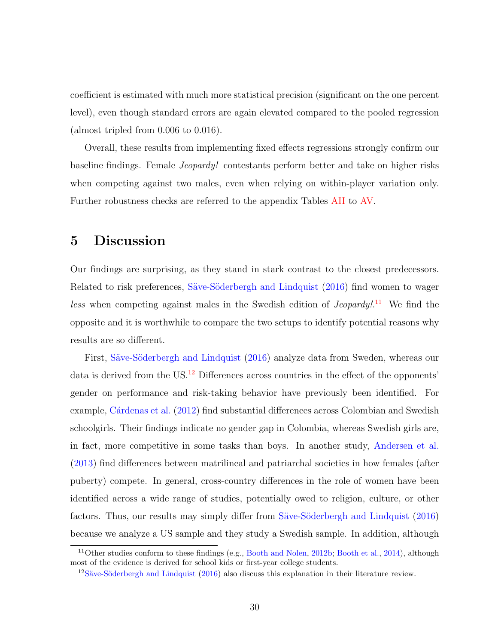coefficient is estimated with much more statistical precision (significant on the one percent level), even though standard errors are again elevated compared to the pooled regression (almost tripled from 0.006 to 0.016).

Overall, these results from implementing fixed effects regressions strongly confirm our baseline findings. Female Jeopardy! contestants perform better and take on higher risks when competing against two males, even when relying on within-player variation only. Further robustness checks are referred to the appendix Tables [AII](#page-42-0) to [AV.](#page-45-0)

# <span id="page-32-0"></span>5 Discussion

Our findings are surprising, as they stand in stark contrast to the closest predecessors. Related to risk preferences, Säve-Söderbergh and Lindquist [\(2016\)](#page-40-2) find women to wager less when competing against males in the Swedish edition of *Jeopardy*!<sup>[11](#page-32-1)</sup> We find the opposite and it is worthwhile to compare the two setups to identify potential reasons why results are so different.

First, Säve-Söderbergh and Lindquist [\(2016\)](#page-40-2) analyze data from Sweden, whereas our data is derived from the US.<sup>[12](#page-32-2)</sup> Differences across countries in the effect of the opponents' gender on performance and risk-taking behavior have previously been identified. For example, Cárdenas et al. [\(2012\)](#page-36-13) find substantial differences across Colombian and Swedish schoolgirls. Their findings indicate no gender gap in Colombia, whereas Swedish girls are, in fact, more competitive in some tasks than boys. In another study, [Andersen et al.](#page-36-9) [\(2013\)](#page-36-9) find differences between matrilineal and patriarchal societies in how females (after puberty) compete. In general, cross-country differences in the role of women have been identified across a wide range of studies, potentially owed to religion, culture, or other factors. Thus, our results may simply differ from Säve-Söderbergh and Lindquist [\(2016\)](#page-40-2) because we analyze a US sample and they study a Swedish sample. In addition, although

<span id="page-32-1"></span><sup>11</sup>Other studies conform to these findings (e.g., [Booth and Nolen,](#page-36-8) [2012b;](#page-36-8) [Booth et al.,](#page-36-1) [2014\)](#page-36-1), although most of the evidence is derived for school kids or first-year college students.

<span id="page-32-2"></span> $12$ Säve-Söderbergh and Lindquist [\(2016\)](#page-40-2) also discuss this explanation in their literature review.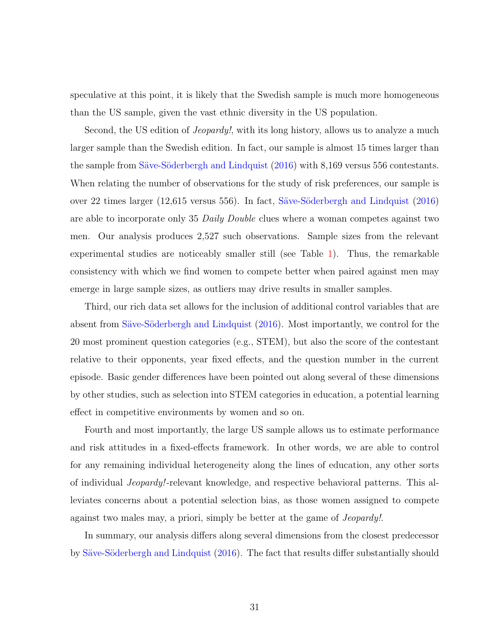speculative at this point, it is likely that the Swedish sample is much more homogeneous than the US sample, given the vast ethnic diversity in the US population.

Second, the US edition of *Jeopardy!*, with its long history, allows us to analyze a much larger sample than the Swedish edition. In fact, our sample is almost 15 times larger than the sample from Säve-Söderbergh and Lindquist [\(2016\)](#page-40-2) with 8,169 versus 556 contestants. When relating the number of observations for the study of risk preferences, our sample is over 22 times larger (12,615 versus 556). In fact, Säve-Söderbergh and Lindquist [\(2016\)](#page-40-2) are able to incorporate only 35 Daily Double clues where a woman competes against two men. Our analysis produces 2,527 such observations. Sample sizes from the relevant experimental studies are noticeably smaller still (see Table [1\)](#page-5-0). Thus, the remarkable consistency with which we find women to compete better when paired against men may emerge in large sample sizes, as outliers may drive results in smaller samples.

Third, our rich data set allows for the inclusion of additional control variables that are absent from Säve-Söderbergh and Lindquist [\(2016\)](#page-40-2). Most importantly, we control for the 20 most prominent question categories (e.g., STEM), but also the score of the contestant relative to their opponents, year fixed effects, and the question number in the current episode. Basic gender differences have been pointed out along several of these dimensions by other studies, such as selection into STEM categories in education, a potential learning effect in competitive environments by women and so on.

Fourth and most importantly, the large US sample allows us to estimate performance and risk attitudes in a fixed-effects framework. In other words, we are able to control for any remaining individual heterogeneity along the lines of education, any other sorts of individual Jeopardy!-relevant knowledge, and respective behavioral patterns. This alleviates concerns about a potential selection bias, as those women assigned to compete against two males may, a priori, simply be better at the game of Jeopardy!.

In summary, our analysis differs along several dimensions from the closest predecessor by Säve-Söderbergh and Lindquist [\(2016\)](#page-40-2). The fact that results differ substantially should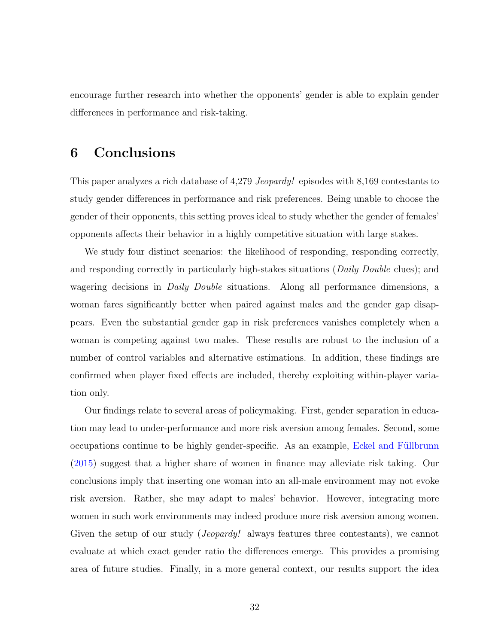encourage further research into whether the opponents' gender is able to explain gender differences in performance and risk-taking.

## <span id="page-34-0"></span>6 Conclusions

This paper analyzes a rich database of 4,279 Jeopardy! episodes with 8,169 contestants to study gender differences in performance and risk preferences. Being unable to choose the gender of their opponents, this setting proves ideal to study whether the gender of females' opponents affects their behavior in a highly competitive situation with large stakes.

We study four distinct scenarios: the likelihood of responding, responding correctly, and responding correctly in particularly high-stakes situations (*Daily Double* clues); and wagering decisions in *Daily Double* situations. Along all performance dimensions, a woman fares significantly better when paired against males and the gender gap disappears. Even the substantial gender gap in risk preferences vanishes completely when a woman is competing against two males. These results are robust to the inclusion of a number of control variables and alternative estimations. In addition, these findings are confirmed when player fixed effects are included, thereby exploiting within-player variation only.

Our findings relate to several areas of policymaking. First, gender separation in education may lead to under-performance and more risk aversion among females. Second, some occupations continue to be highly gender-specific. As an example, Eckel and Füllbrunn [\(2015\)](#page-37-1) suggest that a higher share of women in finance may alleviate risk taking. Our conclusions imply that inserting one woman into an all-male environment may not evoke risk aversion. Rather, she may adapt to males' behavior. However, integrating more women in such work environments may indeed produce more risk aversion among women. Given the setup of our study (*Jeopardy!* always features three contestants), we cannot evaluate at which exact gender ratio the differences emerge. This provides a promising area of future studies. Finally, in a more general context, our results support the idea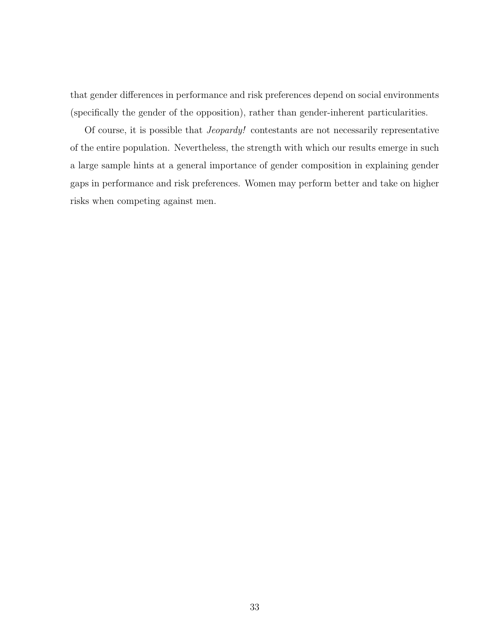that gender differences in performance and risk preferences depend on social environments (specifically the gender of the opposition), rather than gender-inherent particularities.

Of course, it is possible that Jeopardy! contestants are not necessarily representative of the entire population. Nevertheless, the strength with which our results emerge in such a large sample hints at a general importance of gender composition in explaining gender gaps in performance and risk preferences. Women may perform better and take on higher risks when competing against men.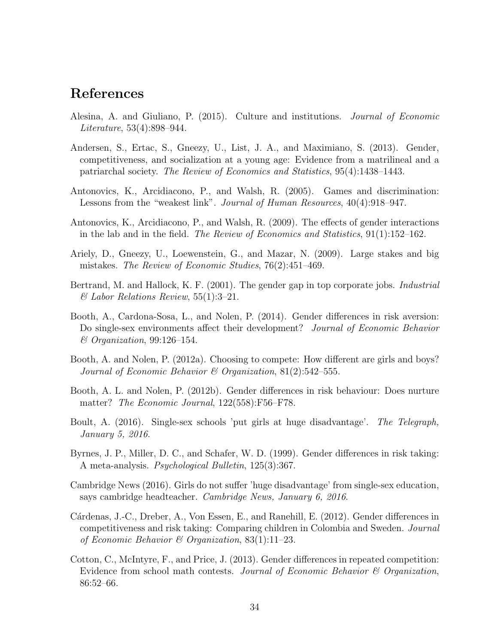## References

- <span id="page-36-5"></span>Alesina, A. and Giuliano, P. (2015). Culture and institutions. Journal of Economic Literature, 53(4):898–944.
- <span id="page-36-9"></span>Andersen, S., Ertac, S., Gneezy, U., List, J. A., and Maximiano, S. (2013). Gender, competitiveness, and socialization at a young age: Evidence from a matrilineal and a patriarchal society. The Review of Economics and Statistics, 95(4):1438–1443.
- <span id="page-36-10"></span>Antonovics, K., Arcidiacono, P., and Walsh, R. (2005). Games and discrimination: Lessons from the "weakest link". Journal of Human Resources, 40(4):918–947.
- <span id="page-36-12"></span>Antonovics, K., Arcidiacono, P., and Walsh, R. (2009). The effects of gender interactions in the lab and in the field. The Review of Economics and Statistics, 91(1):152–162.
- <span id="page-36-6"></span>Ariely, D., Gneezy, U., Loewenstein, G., and Mazar, N. (2009). Large stakes and big mistakes. The Review of Economic Studies, 76(2):451–469.
- <span id="page-36-4"></span>Bertrand, M. and Hallock, K. F. (2001). The gender gap in top corporate jobs. *Industrial*  $\mathscr$ *E* Labor Relations Review, 55(1):3–21.
- <span id="page-36-1"></span>Booth, A., Cardona-Sosa, L., and Nolen, P. (2014). Gender differences in risk aversion: Do single-sex environments affect their development? *Journal of Economic Behavior* & Organization, 99:126–154.
- <span id="page-36-11"></span>Booth, A. and Nolen, P. (2012a). Choosing to compete: How different are girls and boys? Journal of Economic Behavior & Organization, 81(2):542–555.
- <span id="page-36-8"></span>Booth, A. L. and Nolen, P. (2012b). Gender differences in risk behaviour: Does nurture matter? The Economic Journal, 122(558):F56–F78.
- <span id="page-36-2"></span>Boult, A. (2016). Single-sex schools 'put girls at huge disadvantage'. The Telegraph, January 5, 2016.
- <span id="page-36-0"></span>Byrnes, J. P., Miller, D. C., and Schafer, W. D. (1999). Gender differences in risk taking: A meta-analysis. Psychological Bulletin, 125(3):367.
- <span id="page-36-3"></span>Cambridge News (2016). Girls do not suffer 'huge disadvantage' from single-sex education, says cambridge headteacher. Cambridge News, January 6, 2016.
- <span id="page-36-13"></span>Cárdenas, J.-C., Dreber, A., Von Essen, E., and Ranehill, E. (2012). Gender differences in competitiveness and risk taking: Comparing children in Colombia and Sweden. Journal of Economic Behavior & Organization,  $83(1):11-23$ .
- <span id="page-36-7"></span>Cotton, C., McIntyre, F., and Price, J. (2013). Gender differences in repeated competition: Evidence from school math contests. Journal of Economic Behavior & Organization, 86:52–66.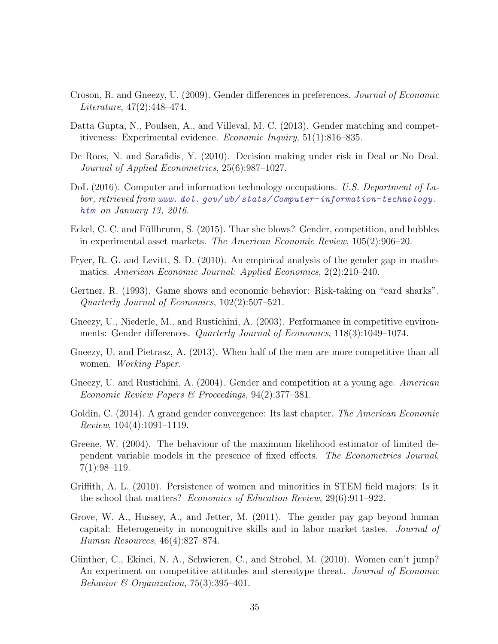- <span id="page-37-8"></span>Croson, R. and Gneezy, U. (2009). Gender differences in preferences. Journal of Economic Literature, 47(2):448–474.
- <span id="page-37-10"></span>Datta Gupta, N., Poulsen, A., and Villeval, M. C. (2013). Gender matching and competitiveness: Experimental evidence. Economic Inquiry, 51(1):816–835.
- <span id="page-37-7"></span>De Roos, N. and Sarafidis, Y. (2010). Decision making under risk in Deal or No Deal. Journal of Applied Econometrics, 25(6):987–1027.
- <span id="page-37-2"></span>DoL (2016). Computer and information technology occupations. U.S. Department of Labor, retrieved from [www. dol. gov/ wb/ stats/ Computer-information-technology.](www.dol.gov/wb/stats/Computer-information-technology.htm) [htm](www.dol.gov/wb/stats/Computer-information-technology.htm) on January 13, 2016.
- <span id="page-37-1"></span>Eckel, C. C. and Füllbrunn, S. (2015). Thar she blows? Gender, competition, and bubbles in experimental asset markets. The American Economic Review, 105(2):906–20.
- <span id="page-37-3"></span>Fryer, R. G. and Levitt, S. D. (2010). An empirical analysis of the gender gap in mathematics. American Economic Journal: Applied Economics, 2(2):210–240.
- <span id="page-37-9"></span>Gertner, R. (1993). Game shows and economic behavior: Risk-taking on "card sharks". Quarterly Journal of Economics, 102(2):507–521.
- <span id="page-37-6"></span>Gneezy, U., Niederle, M., and Rustichini, A. (2003). Performance in competitive environments: Gender differences. Quarterly Journal of Economics, 118(3):1049–1074.
- <span id="page-37-11"></span>Gneezy, U. and Pietrasz, A. (2013). When half of the men are more competitive than all women. Working Paper.
- <span id="page-37-5"></span>Gneezy, U. and Rustichini, A. (2004). Gender and competition at a young age. American Economic Review Papers & Proceedings, 94(2):377–381.
- <span id="page-37-0"></span>Goldin, C. (2014). A grand gender convergence: Its last chapter. *The American Economic* Review, 104(4):1091–1119.
- <span id="page-37-14"></span>Greene, W. (2004). The behaviour of the maximum likelihood estimator of limited dependent variable models in the presence of fixed effects. The Econometrics Journal,  $7(1):98-119.$
- <span id="page-37-12"></span>Griffith, A. L. (2010). Persistence of women and minorities in STEM field majors: Is it the school that matters? Economics of Education Review, 29(6):911–922.
- <span id="page-37-13"></span>Grove, W. A., Hussey, A., and Jetter, M. (2011). The gender pay gap beyond human capital: Heterogeneity in noncognitive skills and in labor market tastes. Journal of Human Resources, 46(4):827–874.
- <span id="page-37-4"></span>Günther, C., Ekinci, N. A., Schwieren, C., and Strobel, M. (2010). Women can't jump? An experiment on competitive attitudes and stereotype threat. Journal of Economic Behavior & Organization, 75(3):395-401.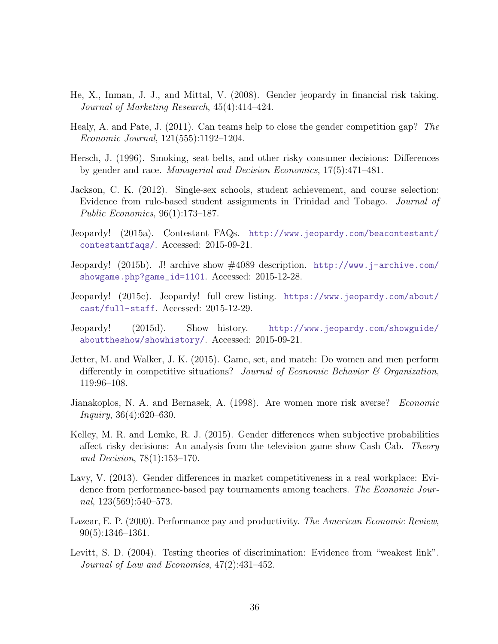- <span id="page-38-12"></span>He, X., Inman, J. J., and Mittal, V. (2008). Gender jeopardy in financial risk taking. Journal of Marketing Research, 45(4):414–424.
- <span id="page-38-3"></span>Healy, A. and Pate, J. (2011). Can teams help to close the gender competition gap? The Economic Journal, 121(555):1192–1204.
- <span id="page-38-4"></span>Hersch, J. (1996). Smoking, seat belts, and other risky consumer decisions: Differences by gender and race. Managerial and Decision Economics, 17(5):471–481.
- <span id="page-38-0"></span>Jackson, C. K. (2012). Single-sex schools, student achievement, and course selection: Evidence from rule-based student assignments in Trinidad and Tobago. Journal of Public Economics, 96(1):173–187.
- <span id="page-38-11"></span>Jeopardy! (2015a). Contestant FAQs. [http://www.jeopardy.com/beacontestant/](http://www.jeopardy.com/beacontestant/contestantfaqs/) [contestantfaqs/](http://www.jeopardy.com/beacontestant/contestantfaqs/). Accessed: 2015-09-21.
- <span id="page-38-8"></span>Jeopardy! (2015b). J! archive show #4089 description. [http://www.j-archive.com/](http://www.j-archive.com/showgame.php?game_id=1101) [showgame.php?game\\_id=1101](http://www.j-archive.com/showgame.php?game_id=1101). Accessed: 2015-12-28.
- <span id="page-38-10"></span>Jeopardy! (2015c). Jeopardy! full crew listing. [https://www.jeopardy.com/about/](https://www.jeopardy.com/about/cast/full-staff) [cast/full-staff](https://www.jeopardy.com/about/cast/full-staff). Accessed: 2015-12-29.
- <span id="page-38-9"></span>Jeopardy! (2015d). Show history. [http://www.jeopardy.com/showguide/](http://www.jeopardy.com/showguide/abouttheshow/showhistory/) [abouttheshow/showhistory/](http://www.jeopardy.com/showguide/abouttheshow/showhistory/). Accessed: 2015-09-21.
- <span id="page-38-1"></span>Jetter, M. and Walker, J. K. (2015). Game, set, and match: Do women and men perform differently in competitive situations? Journal of Economic Behavior & Organization, 119:96–108.
- <span id="page-38-5"></span>Jianakoplos, N. A. and Bernasek, A. (1998). Are women more risk averse? Economic Inquiry, 36(4):620–630.
- <span id="page-38-6"></span>Kelley, M. R. and Lemke, R. J. (2015). Gender differences when subjective probabilities affect risky decisions: An analysis from the television game show Cash Cab. Theory and Decision, 78(1):153–170.
- <span id="page-38-2"></span>Lavy, V. (2013). Gender differences in market competitiveness in a real workplace: Evidence from performance-based pay tournaments among teachers. The Economic Journal, 123(569):540–573.
- <span id="page-38-13"></span>Lazear, E. P. (2000). Performance pay and productivity. The American Economic Review, 90(5):1346–1361.
- <span id="page-38-7"></span>Levitt, S. D. (2004). Testing theories of discrimination: Evidence from "weakest link". Journal of Law and Economics, 47(2):431–452.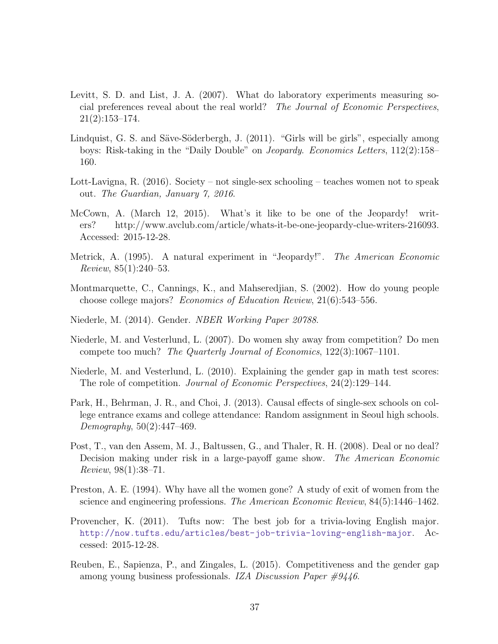- <span id="page-39-3"></span>Levitt, S. D. and List, J. A. (2007). What do laboratory experiments measuring social preferences reveal about the real world? The Journal of Economic Perspectives, 21(2):153–174.
- <span id="page-39-9"></span>Lindquist, G. S. and Säve-Söderbergh, J. (2011). "Girls will be girls", especially among boys: Risk-taking in the "Daily Double" on Jeopardy. Economics Letters, 112(2):158– 160.
- <span id="page-39-2"></span>Lott-Lavigna, R. (2016). Society – not single-sex schooling – teaches women not to speak out. The Guardian, January 7, 2016.
- <span id="page-39-10"></span>McCown, A. (March 12, 2015). What's it like to be one of the Jeopardy! writers? http://www.avclub.com/article/whats-it-be-one-jeopardy-clue-writers-216093. Accessed: 2015-12-28.
- <span id="page-39-7"></span>Metrick, A. (1995). A natural experiment in "Jeopardy!". The American Economic Review, 85(1):240–53.
- <span id="page-39-12"></span>Montmarquette, C., Cannings, K., and Mahseredjian, S. (2002). How do young people choose college majors? Economics of Education Review, 21(6):543–556.
- <span id="page-39-0"></span>Niederle, M. (2014). Gender. NBER Working Paper 20788.
- <span id="page-39-4"></span>Niederle, M. and Vesterlund, L. (2007). Do women shy away from competition? Do men compete too much? The Quarterly Journal of Economics, 122(3):1067–1101.
- <span id="page-39-5"></span>Niederle, M. and Vesterlund, L. (2010). Explaining the gender gap in math test scores: The role of competition. Journal of Economic Perspectives, 24(2):129–144.
- <span id="page-39-1"></span>Park, H., Behrman, J. R., and Choi, J. (2013). Causal effects of single-sex schools on college entrance exams and college attendance: Random assignment in Seoul high schools. Demography, 50(2):447–469.
- <span id="page-39-8"></span>Post, T., van den Assem, M. J., Baltussen, G., and Thaler, R. H. (2008). Deal or no deal? Decision making under risk in a large-payoff game show. The American Economic Review, 98(1):38–71.
- <span id="page-39-11"></span>Preston, A. E. (1994). Why have all the women gone? A study of exit of women from the science and engineering professions. The American Economic Review, 84(5):1446–1462.
- <span id="page-39-13"></span>Provencher, K. (2011). Tufts now: The best job for a trivia-loving English major. <http://now.tufts.edu/articles/best-job-trivia-loving-english-major>. Accessed: 2015-12-28.
- <span id="page-39-6"></span>Reuben, E., Sapienza, P., and Zingales, L. (2015). Competitiveness and the gender gap among young business professionals. IZA Discussion Paper #9446.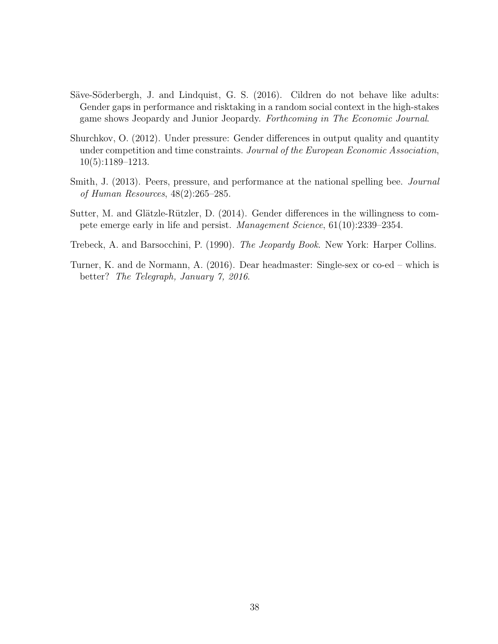- <span id="page-40-2"></span>Säve-Söderbergh, J. and Lindquist, G. S. (2016). Cildren do not behave like adults: Gender gaps in performance and risktaking in a random social context in the high-stakes game shows Jeopardy and Junior Jeopardy. Forthcoming in The Economic Journal.
- <span id="page-40-1"></span>Shurchkov, O. (2012). Under pressure: Gender differences in output quality and quantity under competition and time constraints. Journal of the European Economic Association, 10(5):1189–1213.
- <span id="page-40-5"></span>Smith, J. (2013). Peers, pressure, and performance at the national spelling bee. *Journal* of Human Resources, 48(2):265–285.
- <span id="page-40-3"></span>Sutter, M. and Glätzle-Rützler, D.  $(2014)$ . Gender differences in the willingness to compete emerge early in life and persist. Management Science, 61(10):2339–2354.
- <span id="page-40-4"></span>Trebeck, A. and Barsocchini, P. (1990). The Jeopardy Book. New York: Harper Collins.
- <span id="page-40-0"></span>Turner, K. and de Normann, A. (2016). Dear headmaster: Single-sex or co-ed – which is better? The Telegraph, January 7, 2016.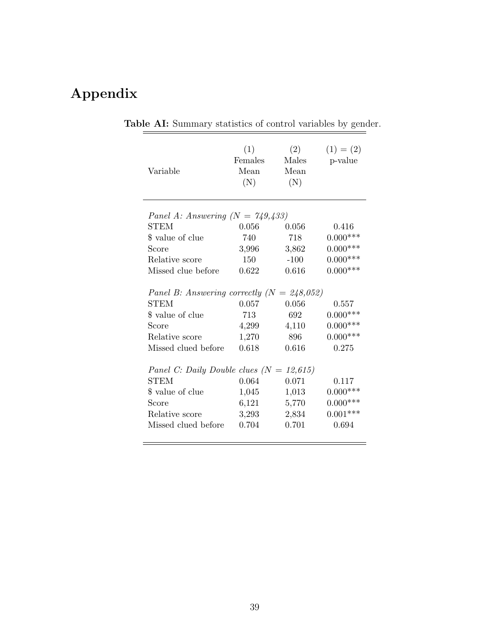# <span id="page-41-0"></span>Appendix

| Variable                                                                                                                          | (1)<br>Females<br>Mean<br>(N)           | (2)<br>Males<br>Mean<br>(N)           | $(1) = (2)$<br>p-value                                   |
|-----------------------------------------------------------------------------------------------------------------------------------|-----------------------------------------|---------------------------------------|----------------------------------------------------------|
| Panel A: Answering $(N = 749,433)$                                                                                                |                                         |                                       |                                                          |
| <b>STEM</b>                                                                                                                       | 0.056                                   | 0.056                                 | 0.416                                                    |
| \$ value of clue                                                                                                                  | 740                                     | 718                                   | $0.000***$                                               |
| Score                                                                                                                             | 3,996                                   | 3,862                                 | $0.000***$                                               |
| Relative score                                                                                                                    | 150                                     | $-100$                                | $0.000***$                                               |
| Missed clue before                                                                                                                | 0.622                                   | 0.616                                 | $0.000***$                                               |
| Panel B: Answering correctly $(N = 248,052)$<br><b>STEM</b><br>\$ value of clue<br>Score<br>Relative score<br>Missed clued before | 0.057<br>713<br>4,299<br>1,270<br>0.618 | 0.056<br>692<br>4,110<br>896<br>0.616 | 0.557<br>$0.000***$<br>$0.000***$<br>$0.000***$<br>0.275 |
|                                                                                                                                   |                                         |                                       |                                                          |
| Panel C: Daily Double clues $(N = 12,615)$                                                                                        |                                         |                                       |                                                          |
| <b>STEM</b>                                                                                                                       | 0.064                                   | 0.071                                 | 0.117                                                    |
| \$ value of clue                                                                                                                  | 1,045                                   | 1,013                                 | $0.000***$                                               |
| Score                                                                                                                             | 6,121                                   | 5,770                                 | $0.000***$                                               |
| Relative score                                                                                                                    | 3,293                                   | 2,834                                 | $0.001***$                                               |
| Missed clued before                                                                                                               | 0.704                                   | 0.701                                 | 0.694                                                    |
|                                                                                                                                   |                                         |                                       |                                                          |

Table AI: Summary statistics of control variables by gender.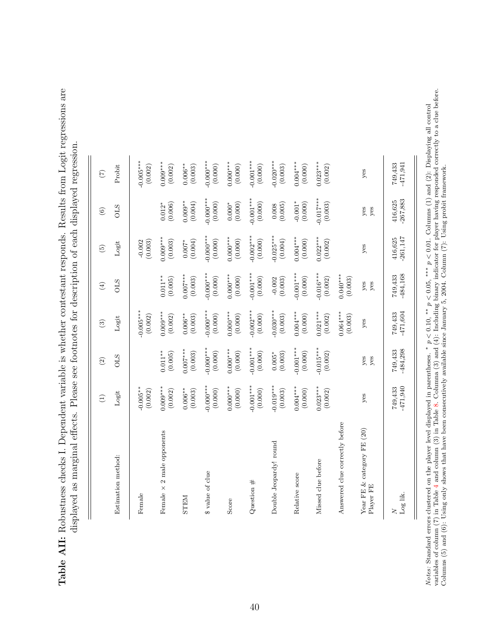<span id="page-42-0"></span>Table AII: Robustness checks I. Dependent variable is whether contestant responds. Results from Logit regressions are Table AII: Robustness checks I. Dependent variable is whether contestant responds. Results from Logit regressions are displayed as marginal effects. Please see footnotes for description of each displayed regression. displayed as marginal effects. Please see footnotes for description of each displayed regression.

| Estimation method:                      |                       |                        |                       |                        |                       |                      |                       |
|-----------------------------------------|-----------------------|------------------------|-----------------------|------------------------|-----------------------|----------------------|-----------------------|
|                                         | Logit                 | <b>OLS</b>             | $_{\rm Logit}$        | <b>OLS</b>             | Logit                 | <b>OLS</b>           | Probit                |
| Female                                  | $0.005**$<br>(0.002)  |                        | $0.005***$<br>(0.002) |                        | (0.003)<br>$-0.002$   |                      | $0.005***$<br>(0.002) |
| Female $\times$ 2 male opponents        | $0.009***$            | $0.011**$              | $0.009***$            | $0.011**$              | $0.009***$            | $0.012*$             | $0.009***$            |
|                                         | (0.002)               | (0.005)                | (0.002)               | (0.005)                | (0.003)               | (0.006)              | (0.002)               |
| <b>NGLES</b>                            | $0.006**$             | $0.007***$             | $0.006**$             | $0.007***$             | (0.004)               | $0.009**$            | $0.006**$             |
|                                         | (0.003)               | (0.003)                | (0.003)               | (0.003)                | $0.007*$              | (0.004)              | (0.003)               |
| \$ value of clue                        | $-0.000**$            | $-0.000**$             | $-0.000$ ***          | $-0.000***$            | $0.000***$            | $-0.000$ ***         | $-0.000***$           |
|                                         | (0.000)               | (0.000)                | (0.000)               | (0.000)                | (0.000)               | (0.000)              | (0.000)               |
| Score                                   | $0.000***$            | $0.000***$             | $0.000**$             | $0.000***$             | $0.000***$            | (0.000)              | $0.000**$             |
|                                         | (0.000)               | (0.000)                | (0.000)               | (0.000)                | (0.000)               | $0.000^\ast$         | (0.000)               |
| Question $#$                            | $-0.001***$           | $-0.001***$            | $-0.002***$           | $-0.001***$            | $-0.002***$           | $-0.001***$          | $-0.001***$           |
|                                         | (0.000)               | (0.000)                | (0.000)               | (0.000)                | $(0.000)$             | (0.000)              | (0.000)               |
| Double Jeopardy! round                  | $0.019***$            | (0.003)                | $-0.030***$           | (0.003)                | $0.025***$            | (0.005)              | $-0.020***$           |
|                                         | (0.003)               | $0.005*$               | (0.003)               | $-0.002$               | (0.004)               | 0.008                | (0.003)               |
| Relative score                          | $0.004***$<br>(0.000) | $-0.001***$<br>(0.000) | $0.004***$<br>(0.000) | $-0.001***$<br>(0.000) | $0.004***$<br>(0.000) | $-0.001*$<br>(0.000) | $0.004***$<br>(0.000) |
| Missed clue before                      | $0.023***$            | $-0.015***$            | $0.021***$            | $0.016***$             | $0.022***$            | $-0.017***$          | $0.023***$            |
|                                         | (0.002)               | (0.002)                | (0.002)               | (0.002)                | (0.002)               | (0.003)              | (0.002)               |
| Answered clue correctly before          |                       |                        | $0.064***$<br>(0.003) | $0.040***$<br>(0.003)  |                       |                      |                       |
| Year FE & category FE (20)<br>Player FE | yes                   | yes<br>yes             | yes                   | yes<br>yes             | yes                   | yes<br>yes           | yes                   |
| Log lik.                                | $-471,940$            | -484,298               | -471,604              | $-484,168$             | $-261,147$            | $-267,883$           | $-471,941$            |
| $\geq$                                  | 749,433               | 749,433                | 749,433               | 749,433                | 416,625               | 416,625              | 749,433               |

*Notes*: Standard errors clustered on the player level displayed in parentheses. \*  $p < 0.10$ , \*\*  $p < 0.05$ , \*\*\*  $p < 0.01$ . Columns (1) and (2): Displaying all control variables of column (7) in Table 4 and column (3) in T variables of column (7) in Table [4](#page-22-0) and column (3) in Table [8.](#page-30-0) Columna (3) and (4): Including binary indicator for player having responded correctly to a clue before. Notes: Standard errors clustered on the player level displayed in parentheses. \* p < 0.10, \*\* p < 0.05, \*\*\* p < 0.01. Columns (1) and (2): Displaying all control events of a particle of the player level displayed in parti Columns (5) and (6): Using only shows that have been consecutively available since January 5, 2004. Column (7): Using probit framework.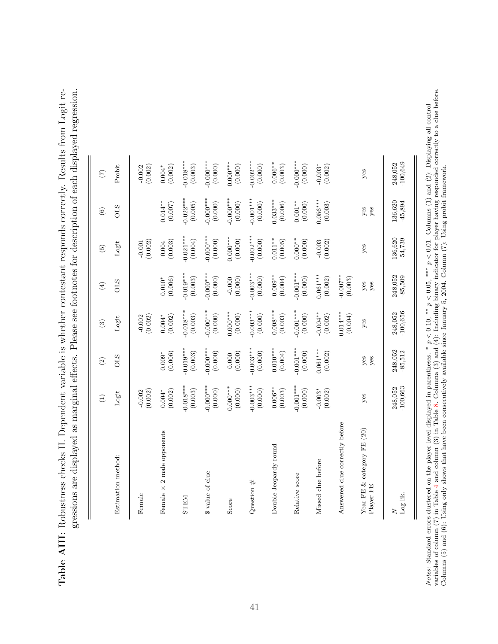Table AIII: Robustness checks II. Dependent variable is whether contestant responds correctly. Results from Logit regressions are displayed as marginal effects. Please see footnotes for description of each displayed regression. Table AIII: Robustness checks II. Dependent variable is whether contestant responds correctly. Results from Logit regressions are displayed as marginal effects. Please see footnotes for description of each displayed regression.

| Estimation method:<br>Female            |                          |                        |                         |                         |                                               |                        |                                  |
|-----------------------------------------|--------------------------|------------------------|-------------------------|-------------------------|-----------------------------------------------|------------------------|----------------------------------|
|                                         | $Logit$                  | <b>CLS</b>             | Logit                   | <b>OLS</b>              | Logit                                         | <b>OLS</b>             | Probit                           |
|                                         | (0.002)<br>$-0.002$      |                        | (0.002)<br>$-0.002$     |                         | $-0.001$<br>$(0.002)$                         |                        | (0.002)<br>$-0.002$              |
| Female $\times$ 2 male opponents        | $0.004*$<br>(0.002)      | $0.009^*$ (0.006)      | $0.004*$<br>(0.002)     | (0.006)<br>$0.010*$     | $\begin{array}{c} 0.004 \\ 0.003 \end{array}$ | $0.014***$<br>(0.007)  | (0.002)<br>$0.004^{\ast}$        |
| <b>NGLES</b>                            | $-0.018***$<br>(0.003)   | $0.019***$<br>(0.003)  | $-0.018***$<br>(0.003)  | $-0.019***$<br>(0.003)  | $-0.021***$<br>(0.004)                        | $-0.022***$<br>(0.005) | $-0.018***$<br>(0.003)           |
| \$ value of clue                        | $-0.000$ ***<br>(0.000)  | $-0.000***$<br>(0.000) | $-0.000$ ***<br>(0.000) | $-0.000$ ***<br>(0.000) | $-0.000***$<br>(0.000)                        | $0.000***$<br>(0.000)  | $-0.000$ ***<br>(0.000)          |
| Score                                   | $0.000***$<br>(0.000)    | (0.000)<br>0.000       | $0.000**$<br>(0.000)    | (0.000)<br>$-0.000$     | $0.000***$<br>(0.000)                         | $-0.000***$<br>(0.000) | $0.000***$<br>(0.000)            |
| Question $#$                            | $-0.003***$<br>$(0.000)$ | $-0.003***$<br>(0.000) | $-0.003***$<br>(0.000)  | $-0.003***$<br>(0.000)  | $-0.002***$<br>(0.000)                        | $-0.001***$<br>(0.000) | $-0.002***$<br>(0.000)           |
| Double Jeopardy round                   | $-0.006**$<br>(0.003)    | $-0.010**$<br>(0.004)  | $-0.008***$<br>(0.003)  | $-0.009**$<br>(0.004)   | $0.011***$<br>(0.005)                         | $0.033***$<br>(0.006)  | $-0.006**$<br>(0.003)            |
| Relative score                          | $-0.001***$<br>(0.000)   | $-0.001***$<br>(0.000) | $-0.001***$<br>(0.000)  | $-0.001***$<br>(0.000)  | $0.000**$<br>(0.000)                          | $0.001***$<br>(0.000)  | $-0.000***$<br>(0.000)           |
| Missed clue before                      | $-0.003*$<br>(0.002)     | $0.061***$<br>(0.002)  | $-0.004***$<br>(0.002)  | $0.061***$<br>(0.002)   | $-0.003$<br>(0.002)                           | $0.056***$<br>(0.003)  | $-0.003$ <sup>*</sup><br>(0.002) |
| Answered clue correctly before          |                          |                        | $0.014***$<br>(0.004)   | $-0.007$ **<br>(0.003)  |                                               |                        |                                  |
| Year FE & category FE (20)<br>Player FE | yes                      | yes<br>yes             | yes                     | yes<br>yes              | yes                                           | yes<br>yes             | yes                              |
| Log lik.<br>$\geq$                      | $-100,663$<br>248,052    | 248,052<br>$-85,512$   | $-100,656$<br>248,052   | 248,052<br>$-85,509$    | 136,620<br>-54,739                            | 136,620<br>$-45,894$   | $-100,649$<br>248,052            |

*Notes*: Standard errors clustered on the player level displayed in parentheses. \*  $p < 0.10$ , \*\*  $p < 0.05$ , \*\*\*  $p < 0.01$ . Columns (1) and (2): Displaying all control variables of column (7) in Table 4 and column (3) in T variables of column (7) in Table [4](#page-22-0) and column (3) in Table [8.](#page-30-0) Columna (3) and (4): Including binary indicator for player having responded correctly to a clue before. Notes: Standard errors clustered on the player level displayed in parentheses. \* p < 0.10, \*\* p < 0.05, \*\*\* p < 0.01. Columns (1) and (2): Displaying all control events of a particle of the player level displayed in parti Columns (5) and (6): Using only shows that have been consecutively available since January 5, 2004. Column (7): Using probit framework.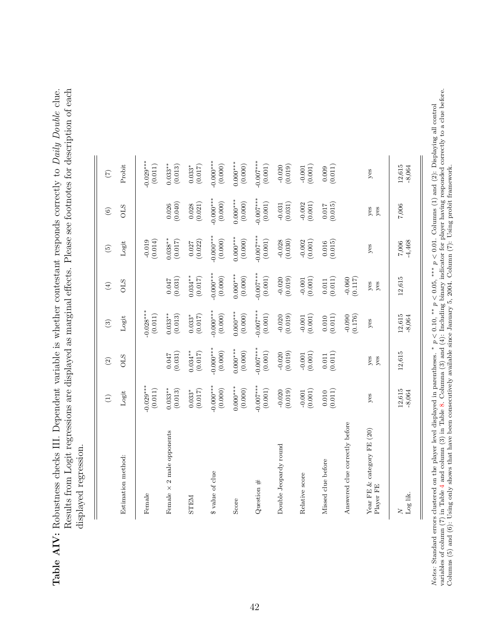<span id="page-44-0"></span>Table AIV: Robustness checks III. Dependent variable is whether contestant responds correctly to Daily Double clue. Results from Logit regressions are displayed as marginal effects. Please see footnotes for description of each Table AIV: Robustness checks III. Dependent variable is whether contestant responds correctly to Daily Double clue. Results from Logit regressions are displayed as marginal effects. Please see footnotes for description of each displayed regression. displayed regression.

|                                         | $\bigoplus$            | $\widehat{\Omega}$    | $\odot$                | $\bigoplus$                        | $\widetilde{5}$                                 | $\circledcirc$         | $\widehat{C}$           |
|-----------------------------------------|------------------------|-----------------------|------------------------|------------------------------------|-------------------------------------------------|------------------------|-------------------------|
| Estimation method:                      | Logit                  | <b>OLS</b>            | Logit                  | <b>OLS</b>                         | Logit                                           | <b>CLIO</b>            | Probit                  |
| Female                                  | $0.029***$<br>(0.011)  |                       | $0.028***$<br>(0.011)  |                                    | (0.019)                                         |                        | $0.029***$<br>(0.011)   |
| 2 male opponents<br>Female $\times$     | $0.033***$<br>(0.013)  | (0.031)<br>0.047      | $0.033***$<br>(0.013)  | (0.031)<br>0.047                   | $0.038***$<br>(0.017)                           | (0.026)                | $0.033***$<br>(0.013)   |
| <b>NGLES</b>                            | $0.033*$<br>(0.017)    | $0.034***$<br>(0.017) | $0.033*$<br>(0.017)    | $0.034***$<br>(0.017)              | (0.027)                                         | (0.021)<br>0.028       | $0.033*$<br>(0.017)     |
| \$ value of clue                        | $-0.000***$<br>(0.000) | $0.000***$<br>(0.000) | $-0.000***$<br>(0.000) | $0.000***$<br>(0.000)              | $0.000***$<br>(0.000)                           | $0.000***$<br>(0.000)  | $0.000***$<br>(0.000)   |
| Score                                   | $0.000**$<br>(0.000)   | $0.000***$<br>(0.000) | $0.000***$<br>(0.000)  | $0.000***$<br>(0.000)              | $0.000***$<br>(0.000)                           | $0.000***$<br>(0.000)  | $0.000***$<br>(0.000)   |
| Question $#$                            | $0.007***$<br>(0.001)  | $0.007***$<br>(0.001) | $-0.007***$<br>(0.001) | $0.007***$<br>(0.001)              | $0.007***$<br>(0.001)                           | $-0.007***$<br>(0.001) | $0.007***$<br>$(0.001)$ |
| Double Jeopardy round                   | (0.019)<br>$-0.020$    | (0.019)<br>$-0.020$   | $-0.020$<br>$(0.019)$  | (0.019)<br>$-0.020$                | (0.030)<br>$-0.028$                             | $-0.031$<br>(0.031)    | (0.019)<br>$-0.020$     |
| Relative score                          | (0.001)<br>$-0.001$    | (0.001)<br>$-0.001$   | (0.001)                | (0.001)<br>$-0.001$                | (0.001)<br>$-0.002$                             | $-0.002$<br>(0.001)    | (0.001)<br>$-0.001$     |
| Missed clue before                      | (0.011)<br>0.010       | (0.011)<br>$0.011\,$  | (0.011)<br>0.010       | $\left( 0.011\right)$<br>$0.011\,$ | $\begin{array}{c} 0.016 \\ (0.015) \end{array}$ | (0.015)                | (0.009)                 |
| Answered clue correctly before          |                        |                       | (0.176)                | (0.117)<br>$-0.060$                |                                                 |                        |                         |
| Year FE & category FE (20)<br>Player FE | yes                    | $y$ es<br>yes         | yes                    | yes<br>yes                         | yes                                             | yes<br>yes             | yes                     |
| $_{\rm Log~lik.}$<br>$\geq$             | 12,615<br>$-8,064$     | 12,615                | $12,615$<br>$-8,064$   | 12,615                             | $-4,468$<br>$7,006$                             | $7,006$                | 12,615<br>$-8,064$      |

*Notes:* Standard errors clustered on the player level displayed in parentheses. \*  $p < 0.10$ , \*\*  $p < 0.05$ , \*\*\*  $p < 0.01$ . Columns (1) and (2): Displaying all control variables of column (7) in Table 4 and column (3) in T variables of column (7) in Table [4](#page-22-0) and column (3) in Table [8.](#page-30-0) Columna (3) and (4): Including binary indicator for player having responded correctly to a clue before. Notes: Standard errors clustered on the player level displayed in parentheses. ∗ p < 0.10, ∗∗ p < 0.05, ∗∗∗ p < 0.01. Columns (1) and (2): Displaying all control Columns (5) and (6): Using only shows that have been consecutively available since January 5, 2004. Column (7): Using probit framework.